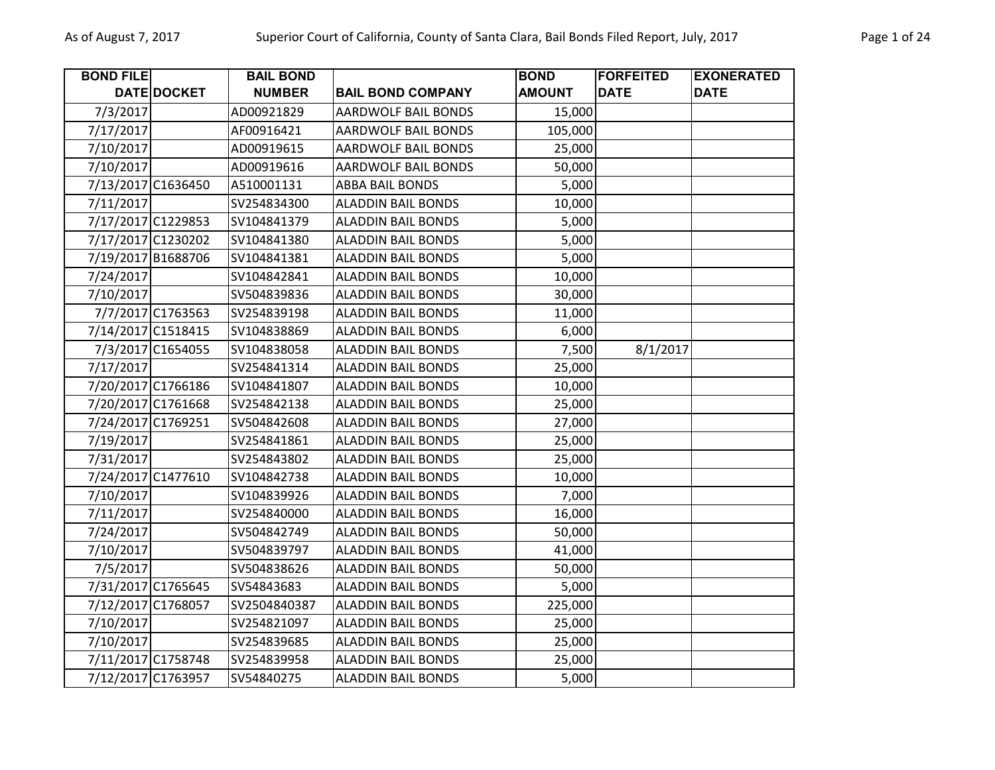| <b>BOND FILE</b>   |                   | <b>BAIL BOND</b> |                            | <b>BOND</b>   | <b>FORFEITED</b> | <b>EXONERATED</b> |
|--------------------|-------------------|------------------|----------------------------|---------------|------------------|-------------------|
|                    | DATE DOCKET       | <b>NUMBER</b>    | <b>BAIL BOND COMPANY</b>   | <b>AMOUNT</b> | <b>DATE</b>      | <b>DATE</b>       |
| 7/3/2017           |                   | AD00921829       | <b>AARDWOLF BAIL BONDS</b> | 15,000        |                  |                   |
| 7/17/2017          |                   | AF00916421       | <b>AARDWOLF BAIL BONDS</b> | 105,000       |                  |                   |
| 7/10/2017          |                   | AD00919615       | AARDWOLF BAIL BONDS        | 25,000        |                  |                   |
| 7/10/2017          |                   | AD00919616       | <b>AARDWOLF BAIL BONDS</b> | 50,000        |                  |                   |
| 7/13/2017 C1636450 |                   | A510001131       | <b>ABBA BAIL BONDS</b>     | 5,000         |                  |                   |
| 7/11/2017          |                   | SV254834300      | <b>ALADDIN BAIL BONDS</b>  | 10,000        |                  |                   |
| 7/17/2017 C1229853 |                   | SV104841379      | <b>ALADDIN BAIL BONDS</b>  | 5,000         |                  |                   |
| 7/17/2017 C1230202 |                   | SV104841380      | <b>ALADDIN BAIL BONDS</b>  | 5,000         |                  |                   |
| 7/19/2017 B1688706 |                   | SV104841381      | <b>ALADDIN BAIL BONDS</b>  | 5,000         |                  |                   |
| 7/24/2017          |                   | SV104842841      | <b>ALADDIN BAIL BONDS</b>  | 10,000        |                  |                   |
| 7/10/2017          |                   | SV504839836      | <b>ALADDIN BAIL BONDS</b>  | 30,000        |                  |                   |
|                    | 7/7/2017 C1763563 | SV254839198      | <b>ALADDIN BAIL BONDS</b>  | 11,000        |                  |                   |
| 7/14/2017 C1518415 |                   | SV104838869      | <b>ALADDIN BAIL BONDS</b>  | 6,000         |                  |                   |
|                    | 7/3/2017 C1654055 | SV104838058      | <b>ALADDIN BAIL BONDS</b>  | 7,500         | 8/1/2017         |                   |
| 7/17/2017          |                   | SV254841314      | <b>ALADDIN BAIL BONDS</b>  | 25,000        |                  |                   |
| 7/20/2017 C1766186 |                   | SV104841807      | <b>ALADDIN BAIL BONDS</b>  | 10,000        |                  |                   |
| 7/20/2017 C1761668 |                   | SV254842138      | <b>ALADDIN BAIL BONDS</b>  | 25,000        |                  |                   |
| 7/24/2017 C1769251 |                   | SV504842608      | <b>ALADDIN BAIL BONDS</b>  | 27,000        |                  |                   |
| 7/19/2017          |                   | SV254841861      | <b>ALADDIN BAIL BONDS</b>  | 25,000        |                  |                   |
| 7/31/2017          |                   | SV254843802      | <b>ALADDIN BAIL BONDS</b>  | 25,000        |                  |                   |
| 7/24/2017 C1477610 |                   | SV104842738      | <b>ALADDIN BAIL BONDS</b>  | 10,000        |                  |                   |
| 7/10/2017          |                   | SV104839926      | <b>ALADDIN BAIL BONDS</b>  | 7,000         |                  |                   |
| 7/11/2017          |                   | SV254840000      | <b>ALADDIN BAIL BONDS</b>  | 16,000        |                  |                   |
| 7/24/2017          |                   | SV504842749      | <b>ALADDIN BAIL BONDS</b>  | 50,000        |                  |                   |
| 7/10/2017          |                   | SV504839797      | <b>ALADDIN BAIL BONDS</b>  | 41,000        |                  |                   |
| 7/5/2017           |                   | SV504838626      | <b>ALADDIN BAIL BONDS</b>  | 50,000        |                  |                   |
| 7/31/2017 C1765645 |                   | SV54843683       | <b>ALADDIN BAIL BONDS</b>  | 5,000         |                  |                   |
| 7/12/2017 C1768057 |                   | SV2504840387     | <b>ALADDIN BAIL BONDS</b>  | 225,000       |                  |                   |
| 7/10/2017          |                   | SV254821097      | <b>ALADDIN BAIL BONDS</b>  | 25,000        |                  |                   |
| 7/10/2017          |                   | SV254839685      | <b>ALADDIN BAIL BONDS</b>  | 25,000        |                  |                   |
| 7/11/2017 C1758748 |                   | SV254839958      | <b>ALADDIN BAIL BONDS</b>  | 25,000        |                  |                   |
| 7/12/2017 C1763957 |                   | SV54840275       | <b>ALADDIN BAIL BONDS</b>  | 5,000         |                  |                   |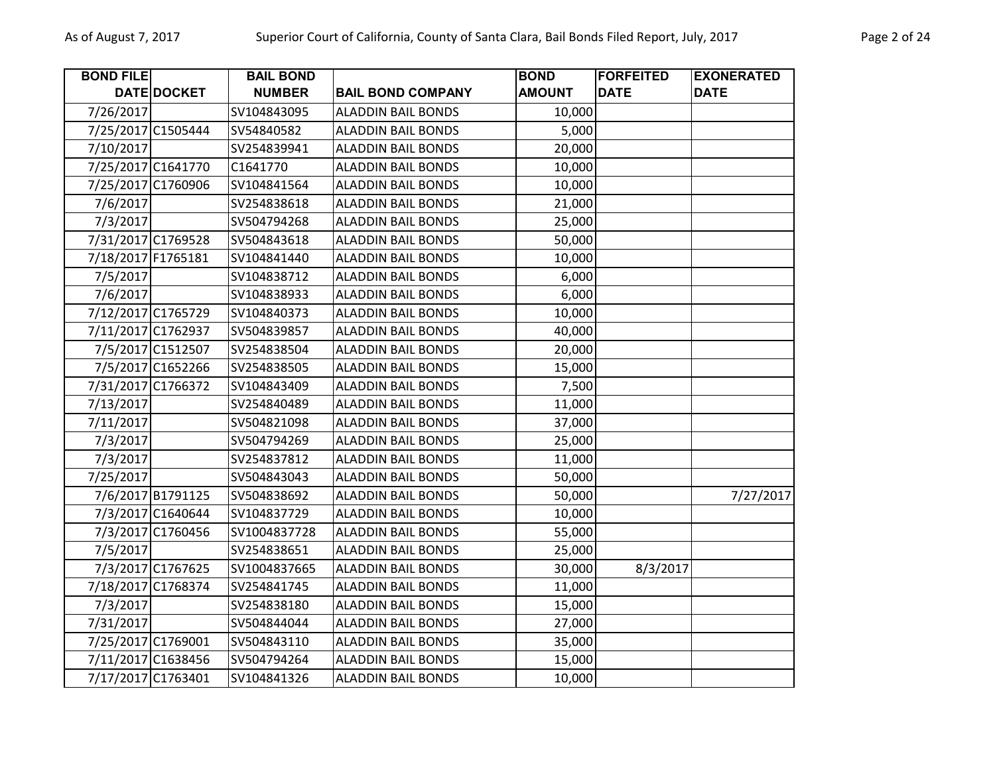| <b>BOND FILE</b>   |                   | <b>BAIL BOND</b> |                           | <b>BOND</b>   | <b>FORFEITED</b> | <b>EXONERATED</b> |
|--------------------|-------------------|------------------|---------------------------|---------------|------------------|-------------------|
|                    | DATE DOCKET       | <b>NUMBER</b>    | <b>BAIL BOND COMPANY</b>  | <b>AMOUNT</b> | <b>DATE</b>      | <b>DATE</b>       |
| 7/26/2017          |                   | SV104843095      | <b>ALADDIN BAIL BONDS</b> | 10,000        |                  |                   |
| 7/25/2017 C1505444 |                   | SV54840582       | <b>ALADDIN BAIL BONDS</b> | 5,000         |                  |                   |
| 7/10/2017          |                   | SV254839941      | <b>ALADDIN BAIL BONDS</b> | 20,000        |                  |                   |
| 7/25/2017 C1641770 |                   | C1641770         | <b>ALADDIN BAIL BONDS</b> | 10,000        |                  |                   |
| 7/25/2017 C1760906 |                   | SV104841564      | <b>ALADDIN BAIL BONDS</b> | 10,000        |                  |                   |
| 7/6/2017           |                   | SV254838618      | <b>ALADDIN BAIL BONDS</b> | 21,000        |                  |                   |
| 7/3/2017           |                   | SV504794268      | <b>ALADDIN BAIL BONDS</b> | 25,000        |                  |                   |
| 7/31/2017 C1769528 |                   | SV504843618      | <b>ALADDIN BAIL BONDS</b> | 50,000        |                  |                   |
| 7/18/2017 F1765181 |                   | SV104841440      | <b>ALADDIN BAIL BONDS</b> | 10,000        |                  |                   |
| 7/5/2017           |                   | SV104838712      | <b>ALADDIN BAIL BONDS</b> | 6,000         |                  |                   |
| 7/6/2017           |                   | SV104838933      | <b>ALADDIN BAIL BONDS</b> | 6,000         |                  |                   |
| 7/12/2017 C1765729 |                   | SV104840373      | <b>ALADDIN BAIL BONDS</b> | 10,000        |                  |                   |
| 7/11/2017 C1762937 |                   | SV504839857      | <b>ALADDIN BAIL BONDS</b> | 40,000        |                  |                   |
|                    | 7/5/2017 C1512507 | SV254838504      | <b>ALADDIN BAIL BONDS</b> | 20,000        |                  |                   |
|                    | 7/5/2017 C1652266 | SV254838505      | <b>ALADDIN BAIL BONDS</b> | 15,000        |                  |                   |
| 7/31/2017 C1766372 |                   | SV104843409      | <b>ALADDIN BAIL BONDS</b> | 7,500         |                  |                   |
| 7/13/2017          |                   | SV254840489      | <b>ALADDIN BAIL BONDS</b> | 11,000        |                  |                   |
| 7/11/2017          |                   | SV504821098      | <b>ALADDIN BAIL BONDS</b> | 37,000        |                  |                   |
| 7/3/2017           |                   | SV504794269      | <b>ALADDIN BAIL BONDS</b> | 25,000        |                  |                   |
| 7/3/2017           |                   | SV254837812      | <b>ALADDIN BAIL BONDS</b> | 11,000        |                  |                   |
| 7/25/2017          |                   | SV504843043      | <b>ALADDIN BAIL BONDS</b> | 50,000        |                  |                   |
|                    | 7/6/2017 B1791125 | SV504838692      | <b>ALADDIN BAIL BONDS</b> | 50,000        |                  | 7/27/2017         |
|                    | 7/3/2017 C1640644 | SV104837729      | <b>ALADDIN BAIL BONDS</b> | 10,000        |                  |                   |
|                    | 7/3/2017 C1760456 | SV1004837728     | <b>ALADDIN BAIL BONDS</b> | 55,000        |                  |                   |
| 7/5/2017           |                   | SV254838651      | <b>ALADDIN BAIL BONDS</b> | 25,000        |                  |                   |
|                    | 7/3/2017 C1767625 | SV1004837665     | <b>ALADDIN BAIL BONDS</b> | 30,000        | 8/3/2017         |                   |
| 7/18/2017 C1768374 |                   | SV254841745      | <b>ALADDIN BAIL BONDS</b> | 11,000        |                  |                   |
| 7/3/2017           |                   | SV254838180      | <b>ALADDIN BAIL BONDS</b> | 15,000        |                  |                   |
| 7/31/2017          |                   | SV504844044      | <b>ALADDIN BAIL BONDS</b> | 27,000        |                  |                   |
| 7/25/2017 C1769001 |                   | SV504843110      | <b>ALADDIN BAIL BONDS</b> | 35,000        |                  |                   |
| 7/11/2017 C1638456 |                   | SV504794264      | <b>ALADDIN BAIL BONDS</b> | 15,000        |                  |                   |
| 7/17/2017 C1763401 |                   | SV104841326      | <b>ALADDIN BAIL BONDS</b> | 10,000        |                  |                   |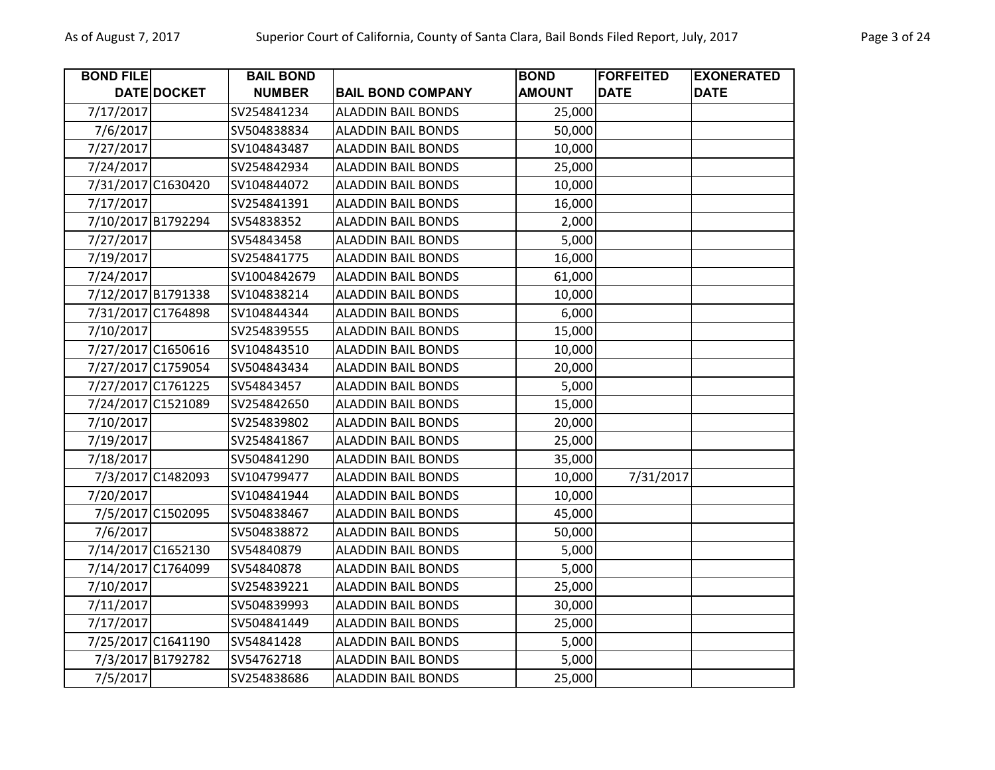| <b>BOND FILE</b>   |                   | <b>BAIL BOND</b> |                           | <b>BOND</b>   | <b>FORFEITED</b> | <b>EXONERATED</b> |
|--------------------|-------------------|------------------|---------------------------|---------------|------------------|-------------------|
|                    | DATE DOCKET       | <b>NUMBER</b>    | <b>BAIL BOND COMPANY</b>  | <b>AMOUNT</b> | <b>DATE</b>      | <b>DATE</b>       |
| 7/17/2017          |                   | SV254841234      | <b>ALADDIN BAIL BONDS</b> | 25,000        |                  |                   |
| 7/6/2017           |                   | SV504838834      | <b>ALADDIN BAIL BONDS</b> | 50,000        |                  |                   |
| 7/27/2017          |                   | SV104843487      | <b>ALADDIN BAIL BONDS</b> | 10,000        |                  |                   |
| 7/24/2017          |                   | SV254842934      | <b>ALADDIN BAIL BONDS</b> | 25,000        |                  |                   |
| 7/31/2017 C1630420 |                   | SV104844072      | <b>ALADDIN BAIL BONDS</b> | 10,000        |                  |                   |
| 7/17/2017          |                   | SV254841391      | <b>ALADDIN BAIL BONDS</b> | 16,000        |                  |                   |
| 7/10/2017 B1792294 |                   | SV54838352       | <b>ALADDIN BAIL BONDS</b> | 2,000         |                  |                   |
| 7/27/2017          |                   | SV54843458       | <b>ALADDIN BAIL BONDS</b> | 5,000         |                  |                   |
| 7/19/2017          |                   | SV254841775      | <b>ALADDIN BAIL BONDS</b> | 16,000        |                  |                   |
| 7/24/2017          |                   | SV1004842679     | <b>ALADDIN BAIL BONDS</b> | 61,000        |                  |                   |
| 7/12/2017 B1791338 |                   | SV104838214      | <b>ALADDIN BAIL BONDS</b> | 10,000        |                  |                   |
| 7/31/2017 C1764898 |                   | SV104844344      | <b>ALADDIN BAIL BONDS</b> | 6,000         |                  |                   |
| 7/10/2017          |                   | SV254839555      | <b>ALADDIN BAIL BONDS</b> | 15,000        |                  |                   |
| 7/27/2017 C1650616 |                   | SV104843510      | <b>ALADDIN BAIL BONDS</b> | 10,000        |                  |                   |
| 7/27/2017 C1759054 |                   | SV504843434      | <b>ALADDIN BAIL BONDS</b> | 20,000        |                  |                   |
| 7/27/2017 C1761225 |                   | SV54843457       | <b>ALADDIN BAIL BONDS</b> | 5,000         |                  |                   |
| 7/24/2017 C1521089 |                   | SV254842650      | <b>ALADDIN BAIL BONDS</b> | 15,000        |                  |                   |
| 7/10/2017          |                   | SV254839802      | <b>ALADDIN BAIL BONDS</b> | 20,000        |                  |                   |
| 7/19/2017          |                   | SV254841867      | <b>ALADDIN BAIL BONDS</b> | 25,000        |                  |                   |
| 7/18/2017          |                   | SV504841290      | <b>ALADDIN BAIL BONDS</b> | 35,000        |                  |                   |
|                    | 7/3/2017 C1482093 | SV104799477      | <b>ALADDIN BAIL BONDS</b> | 10,000        | 7/31/2017        |                   |
| 7/20/2017          |                   | SV104841944      | <b>ALADDIN BAIL BONDS</b> | 10,000        |                  |                   |
|                    | 7/5/2017 C1502095 | SV504838467      | <b>ALADDIN BAIL BONDS</b> | 45,000        |                  |                   |
| 7/6/2017           |                   | SV504838872      | <b>ALADDIN BAIL BONDS</b> | 50,000        |                  |                   |
| 7/14/2017 C1652130 |                   | SV54840879       | <b>ALADDIN BAIL BONDS</b> | 5,000         |                  |                   |
| 7/14/2017 C1764099 |                   | SV54840878       | <b>ALADDIN BAIL BONDS</b> | 5,000         |                  |                   |
| 7/10/2017          |                   | SV254839221      | <b>ALADDIN BAIL BONDS</b> | 25,000        |                  |                   |
| 7/11/2017          |                   | SV504839993      | <b>ALADDIN BAIL BONDS</b> | 30,000        |                  |                   |
| 7/17/2017          |                   | SV504841449      | <b>ALADDIN BAIL BONDS</b> | 25,000        |                  |                   |
| 7/25/2017 C1641190 |                   | SV54841428       | <b>ALADDIN BAIL BONDS</b> | 5,000         |                  |                   |
|                    | 7/3/2017 B1792782 | SV54762718       | <b>ALADDIN BAIL BONDS</b> | 5,000         |                  |                   |
| 7/5/2017           |                   | SV254838686      | <b>ALADDIN BAIL BONDS</b> | 25,000        |                  |                   |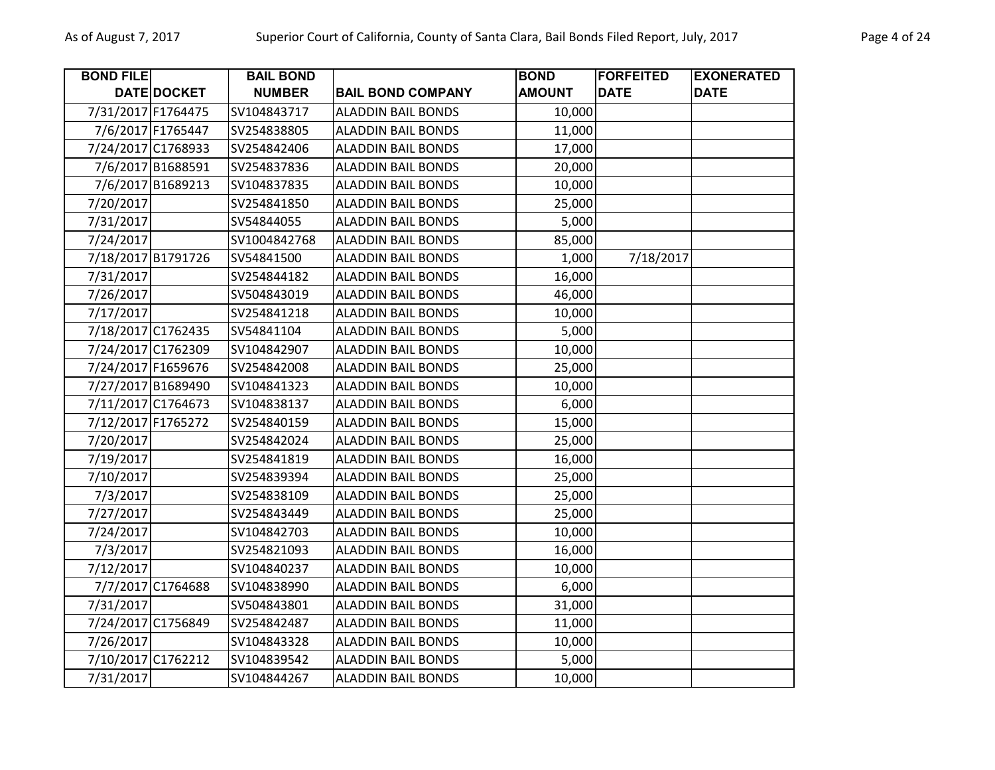| <b>BOND FILE</b>   |                   | <b>BAIL BOND</b> |                           | <b>BOND</b>   | <b>FORFEITED</b> | <b>EXONERATED</b> |
|--------------------|-------------------|------------------|---------------------------|---------------|------------------|-------------------|
|                    | DATE DOCKET       | <b>NUMBER</b>    | <b>BAIL BOND COMPANY</b>  | <b>AMOUNT</b> | <b>DATE</b>      | <b>DATE</b>       |
| 7/31/2017 F1764475 |                   | SV104843717      | <b>ALADDIN BAIL BONDS</b> | 10,000        |                  |                   |
|                    | 7/6/2017 F1765447 | SV254838805      | <b>ALADDIN BAIL BONDS</b> | 11,000        |                  |                   |
| 7/24/2017 C1768933 |                   | SV254842406      | <b>ALADDIN BAIL BONDS</b> | 17,000        |                  |                   |
|                    | 7/6/2017 B1688591 | SV254837836      | <b>ALADDIN BAIL BONDS</b> | 20,000        |                  |                   |
|                    | 7/6/2017 B1689213 | SV104837835      | <b>ALADDIN BAIL BONDS</b> | 10,000        |                  |                   |
| 7/20/2017          |                   | SV254841850      | <b>ALADDIN BAIL BONDS</b> | 25,000        |                  |                   |
| 7/31/2017          |                   | SV54844055       | <b>ALADDIN BAIL BONDS</b> | 5,000         |                  |                   |
| 7/24/2017          |                   | SV1004842768     | <b>ALADDIN BAIL BONDS</b> | 85,000        |                  |                   |
| 7/18/2017 B1791726 |                   | SV54841500       | <b>ALADDIN BAIL BONDS</b> | 1,000         | 7/18/2017        |                   |
| 7/31/2017          |                   | SV254844182      | <b>ALADDIN BAIL BONDS</b> | 16,000        |                  |                   |
| 7/26/2017          |                   | SV504843019      | <b>ALADDIN BAIL BONDS</b> | 46,000        |                  |                   |
| 7/17/2017          |                   | SV254841218      | <b>ALADDIN BAIL BONDS</b> | 10,000        |                  |                   |
| 7/18/2017 C1762435 |                   | SV54841104       | <b>ALADDIN BAIL BONDS</b> | 5,000         |                  |                   |
| 7/24/2017 C1762309 |                   | SV104842907      | <b>ALADDIN BAIL BONDS</b> | 10,000        |                  |                   |
| 7/24/2017 F1659676 |                   | SV254842008      | <b>ALADDIN BAIL BONDS</b> | 25,000        |                  |                   |
| 7/27/2017 B1689490 |                   | SV104841323      | <b>ALADDIN BAIL BONDS</b> | 10,000        |                  |                   |
| 7/11/2017 C1764673 |                   | SV104838137      | <b>ALADDIN BAIL BONDS</b> | 6,000         |                  |                   |
| 7/12/2017 F1765272 |                   | SV254840159      | <b>ALADDIN BAIL BONDS</b> | 15,000        |                  |                   |
| 7/20/2017          |                   | SV254842024      | <b>ALADDIN BAIL BONDS</b> | 25,000        |                  |                   |
| 7/19/2017          |                   | SV254841819      | <b>ALADDIN BAIL BONDS</b> | 16,000        |                  |                   |
| 7/10/2017          |                   | SV254839394      | <b>ALADDIN BAIL BONDS</b> | 25,000        |                  |                   |
| 7/3/2017           |                   | SV254838109      | <b>ALADDIN BAIL BONDS</b> | 25,000        |                  |                   |
| 7/27/2017          |                   | SV254843449      | <b>ALADDIN BAIL BONDS</b> | 25,000        |                  |                   |
| 7/24/2017          |                   | SV104842703      | <b>ALADDIN BAIL BONDS</b> | 10,000        |                  |                   |
| 7/3/2017           |                   | SV254821093      | <b>ALADDIN BAIL BONDS</b> | 16,000        |                  |                   |
| 7/12/2017          |                   | SV104840237      | <b>ALADDIN BAIL BONDS</b> | 10,000        |                  |                   |
|                    | 7/7/2017 C1764688 | SV104838990      | <b>ALADDIN BAIL BONDS</b> | 6,000         |                  |                   |
| 7/31/2017          |                   | SV504843801      | <b>ALADDIN BAIL BONDS</b> | 31,000        |                  |                   |
| 7/24/2017 C1756849 |                   | SV254842487      | <b>ALADDIN BAIL BONDS</b> | 11,000        |                  |                   |
| 7/26/2017          |                   | SV104843328      | <b>ALADDIN BAIL BONDS</b> | 10,000        |                  |                   |
| 7/10/2017 C1762212 |                   | SV104839542      | <b>ALADDIN BAIL BONDS</b> | 5,000         |                  |                   |
| 7/31/2017          |                   | SV104844267      | <b>ALADDIN BAIL BONDS</b> | 10,000        |                  |                   |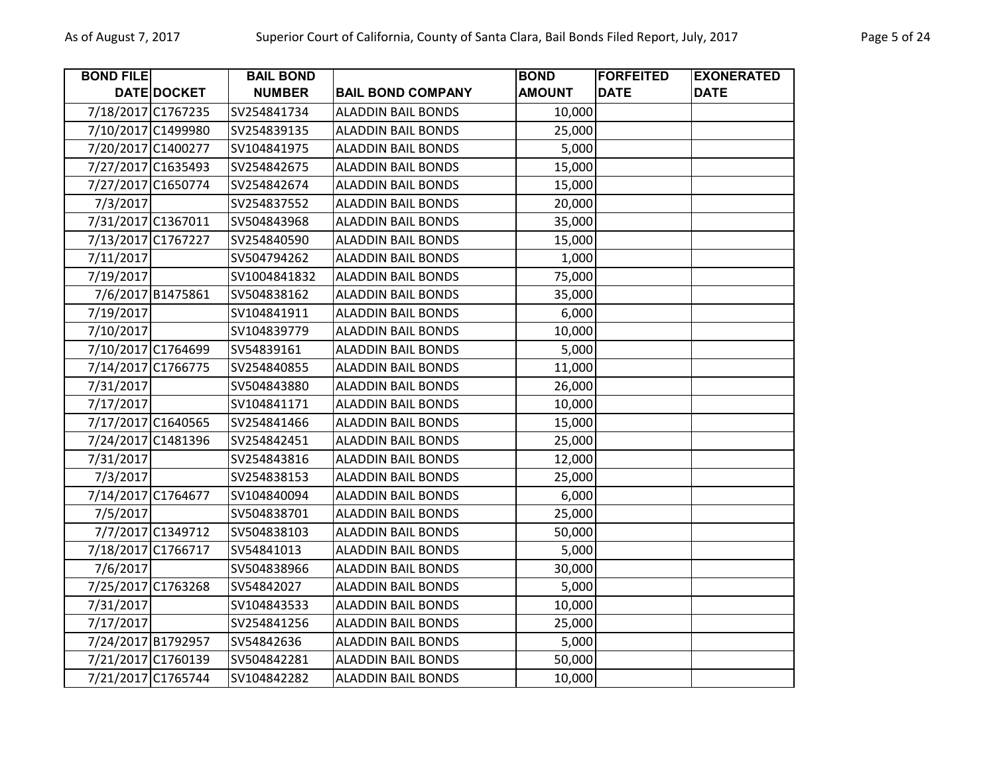| <b>BOND FILE</b>   |                   | <b>BAIL BOND</b> |                           | <b>BOND</b>   | <b>FORFEITED</b> | <b>EXONERATED</b> |
|--------------------|-------------------|------------------|---------------------------|---------------|------------------|-------------------|
|                    | DATE DOCKET       | <b>NUMBER</b>    | <b>BAIL BOND COMPANY</b>  | <b>AMOUNT</b> | <b>DATE</b>      | <b>DATE</b>       |
| 7/18/2017 C1767235 |                   | SV254841734      | <b>ALADDIN BAIL BONDS</b> | 10,000        |                  |                   |
| 7/10/2017 C1499980 |                   | SV254839135      | <b>ALADDIN BAIL BONDS</b> | 25,000        |                  |                   |
| 7/20/2017 C1400277 |                   | SV104841975      | <b>ALADDIN BAIL BONDS</b> | 5,000         |                  |                   |
| 7/27/2017 C1635493 |                   | SV254842675      | <b>ALADDIN BAIL BONDS</b> | 15,000        |                  |                   |
| 7/27/2017 C1650774 |                   | SV254842674      | <b>ALADDIN BAIL BONDS</b> | 15,000        |                  |                   |
| 7/3/2017           |                   | SV254837552      | <b>ALADDIN BAIL BONDS</b> | 20,000        |                  |                   |
| 7/31/2017 C1367011 |                   | SV504843968      | <b>ALADDIN BAIL BONDS</b> | 35,000        |                  |                   |
| 7/13/2017 C1767227 |                   | SV254840590      | <b>ALADDIN BAIL BONDS</b> | 15,000        |                  |                   |
| 7/11/2017          |                   | SV504794262      | <b>ALADDIN BAIL BONDS</b> | 1,000         |                  |                   |
| 7/19/2017          |                   | SV1004841832     | <b>ALADDIN BAIL BONDS</b> | 75,000        |                  |                   |
|                    | 7/6/2017 B1475861 | SV504838162      | <b>ALADDIN BAIL BONDS</b> | 35,000        |                  |                   |
| 7/19/2017          |                   | SV104841911      | <b>ALADDIN BAIL BONDS</b> | 6,000         |                  |                   |
| 7/10/2017          |                   | SV104839779      | <b>ALADDIN BAIL BONDS</b> | 10,000        |                  |                   |
| 7/10/2017 C1764699 |                   | SV54839161       | <b>ALADDIN BAIL BONDS</b> | 5,000         |                  |                   |
| 7/14/2017 C1766775 |                   | SV254840855      | <b>ALADDIN BAIL BONDS</b> | 11,000        |                  |                   |
| 7/31/2017          |                   | SV504843880      | <b>ALADDIN BAIL BONDS</b> | 26,000        |                  |                   |
| 7/17/2017          |                   | SV104841171      | <b>ALADDIN BAIL BONDS</b> | 10,000        |                  |                   |
| 7/17/2017 C1640565 |                   | SV254841466      | <b>ALADDIN BAIL BONDS</b> | 15,000        |                  |                   |
| 7/24/2017 C1481396 |                   | SV254842451      | <b>ALADDIN BAIL BONDS</b> | 25,000        |                  |                   |
| 7/31/2017          |                   | SV254843816      | <b>ALADDIN BAIL BONDS</b> | 12,000        |                  |                   |
| 7/3/2017           |                   | SV254838153      | <b>ALADDIN BAIL BONDS</b> | 25,000        |                  |                   |
| 7/14/2017 C1764677 |                   | SV104840094      | <b>ALADDIN BAIL BONDS</b> | 6,000         |                  |                   |
| 7/5/2017           |                   | SV504838701      | <b>ALADDIN BAIL BONDS</b> | 25,000        |                  |                   |
|                    | 7/7/2017 C1349712 | SV504838103      | <b>ALADDIN BAIL BONDS</b> | 50,000        |                  |                   |
| 7/18/2017 C1766717 |                   | SV54841013       | <b>ALADDIN BAIL BONDS</b> | 5,000         |                  |                   |
| 7/6/2017           |                   | SV504838966      | <b>ALADDIN BAIL BONDS</b> | 30,000        |                  |                   |
| 7/25/2017 C1763268 |                   | SV54842027       | <b>ALADDIN BAIL BONDS</b> | 5,000         |                  |                   |
| 7/31/2017          |                   | SV104843533      | <b>ALADDIN BAIL BONDS</b> | 10,000        |                  |                   |
| 7/17/2017          |                   | SV254841256      | <b>ALADDIN BAIL BONDS</b> | 25,000        |                  |                   |
| 7/24/2017 B1792957 |                   | SV54842636       | <b>ALADDIN BAIL BONDS</b> | 5,000         |                  |                   |
| 7/21/2017 C1760139 |                   | SV504842281      | <b>ALADDIN BAIL BONDS</b> | 50,000        |                  |                   |
| 7/21/2017 C1765744 |                   | SV104842282      | <b>ALADDIN BAIL BONDS</b> | 10,000        |                  |                   |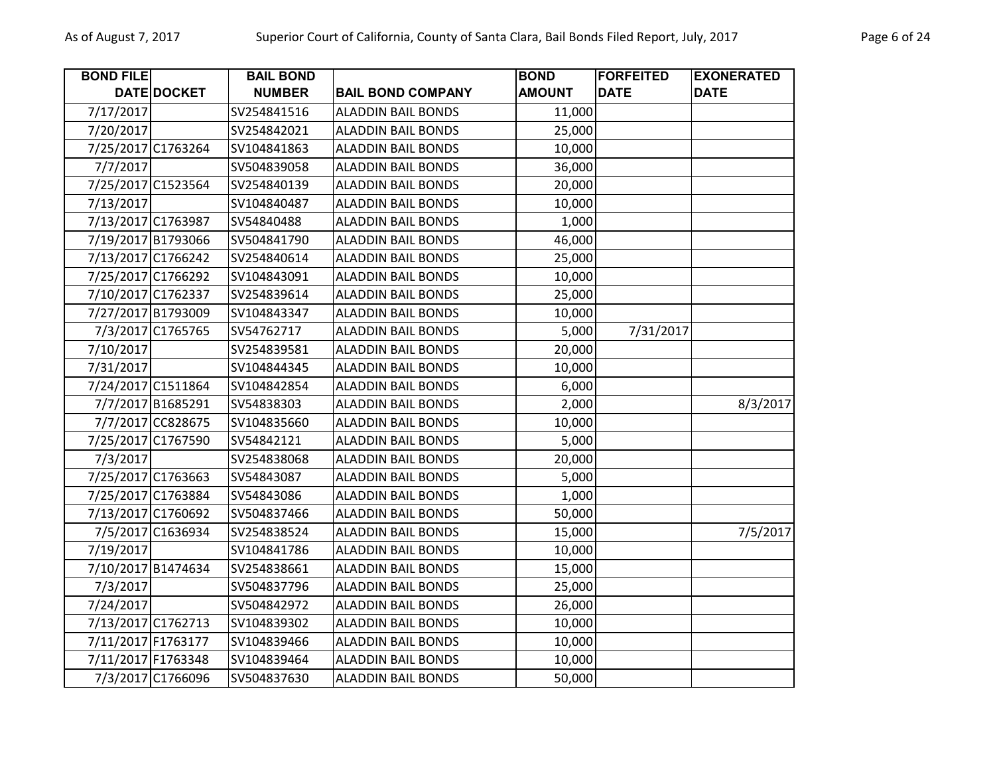| <b>BOND FILE</b>   |                   | <b>BAIL BOND</b> |                           | <b>BOND</b>   | <b>FORFEITED</b> | <b>EXONERATED</b> |
|--------------------|-------------------|------------------|---------------------------|---------------|------------------|-------------------|
|                    | DATE DOCKET       | <b>NUMBER</b>    | <b>BAIL BOND COMPANY</b>  | <b>AMOUNT</b> | <b>DATE</b>      | <b>DATE</b>       |
| 7/17/2017          |                   | SV254841516      | <b>ALADDIN BAIL BONDS</b> | 11,000        |                  |                   |
| 7/20/2017          |                   | SV254842021      | <b>ALADDIN BAIL BONDS</b> | 25,000        |                  |                   |
| 7/25/2017 C1763264 |                   | SV104841863      | <b>ALADDIN BAIL BONDS</b> | 10,000        |                  |                   |
| 7/7/2017           |                   | SV504839058      | <b>ALADDIN BAIL BONDS</b> | 36,000        |                  |                   |
| 7/25/2017 C1523564 |                   | SV254840139      | <b>ALADDIN BAIL BONDS</b> | 20,000        |                  |                   |
| 7/13/2017          |                   | SV104840487      | <b>ALADDIN BAIL BONDS</b> | 10,000        |                  |                   |
| 7/13/2017 C1763987 |                   | SV54840488       | <b>ALADDIN BAIL BONDS</b> | 1,000         |                  |                   |
| 7/19/2017 B1793066 |                   | SV504841790      | <b>ALADDIN BAIL BONDS</b> | 46,000        |                  |                   |
| 7/13/2017 C1766242 |                   | SV254840614      | <b>ALADDIN BAIL BONDS</b> | 25,000        |                  |                   |
| 7/25/2017 C1766292 |                   | SV104843091      | <b>ALADDIN BAIL BONDS</b> | 10,000        |                  |                   |
| 7/10/2017 C1762337 |                   | SV254839614      | <b>ALADDIN BAIL BONDS</b> | 25,000        |                  |                   |
| 7/27/2017 B1793009 |                   | SV104843347      | <b>ALADDIN BAIL BONDS</b> | 10,000        |                  |                   |
|                    | 7/3/2017 C1765765 | SV54762717       | <b>ALADDIN BAIL BONDS</b> | 5,000         | 7/31/2017        |                   |
| 7/10/2017          |                   | SV254839581      | <b>ALADDIN BAIL BONDS</b> | 20,000        |                  |                   |
| 7/31/2017          |                   | SV104844345      | <b>ALADDIN BAIL BONDS</b> | 10,000        |                  |                   |
| 7/24/2017 C1511864 |                   | SV104842854      | <b>ALADDIN BAIL BONDS</b> | 6,000         |                  |                   |
|                    | 7/7/2017 B1685291 | SV54838303       | <b>ALADDIN BAIL BONDS</b> | 2,000         |                  | 8/3/2017          |
|                    | 7/7/2017 CC828675 | SV104835660      | <b>ALADDIN BAIL BONDS</b> | 10,000        |                  |                   |
| 7/25/2017 C1767590 |                   | SV54842121       | <b>ALADDIN BAIL BONDS</b> | 5,000         |                  |                   |
| 7/3/2017           |                   | SV254838068      | <b>ALADDIN BAIL BONDS</b> | 20,000        |                  |                   |
| 7/25/2017 C1763663 |                   | SV54843087       | <b>ALADDIN BAIL BONDS</b> | 5,000         |                  |                   |
| 7/25/2017 C1763884 |                   | SV54843086       | <b>ALADDIN BAIL BONDS</b> | 1,000         |                  |                   |
| 7/13/2017 C1760692 |                   | SV504837466      | <b>ALADDIN BAIL BONDS</b> | 50,000        |                  |                   |
|                    | 7/5/2017 C1636934 | SV254838524      | <b>ALADDIN BAIL BONDS</b> | 15,000        |                  | 7/5/2017          |
| 7/19/2017          |                   | SV104841786      | <b>ALADDIN BAIL BONDS</b> | 10,000        |                  |                   |
| 7/10/2017 B1474634 |                   | SV254838661      | <b>ALADDIN BAIL BONDS</b> | 15,000        |                  |                   |
| 7/3/2017           |                   | SV504837796      | <b>ALADDIN BAIL BONDS</b> | 25,000        |                  |                   |
| 7/24/2017          |                   | SV504842972      | <b>ALADDIN BAIL BONDS</b> | 26,000        |                  |                   |
| 7/13/2017 C1762713 |                   | SV104839302      | <b>ALADDIN BAIL BONDS</b> | 10,000        |                  |                   |
| 7/11/2017 F1763177 |                   | SV104839466      | <b>ALADDIN BAIL BONDS</b> | 10,000        |                  |                   |
| 7/11/2017 F1763348 |                   | SV104839464      | <b>ALADDIN BAIL BONDS</b> | 10,000        |                  |                   |
|                    | 7/3/2017 C1766096 | SV504837630      | <b>ALADDIN BAIL BONDS</b> | 50,000        |                  |                   |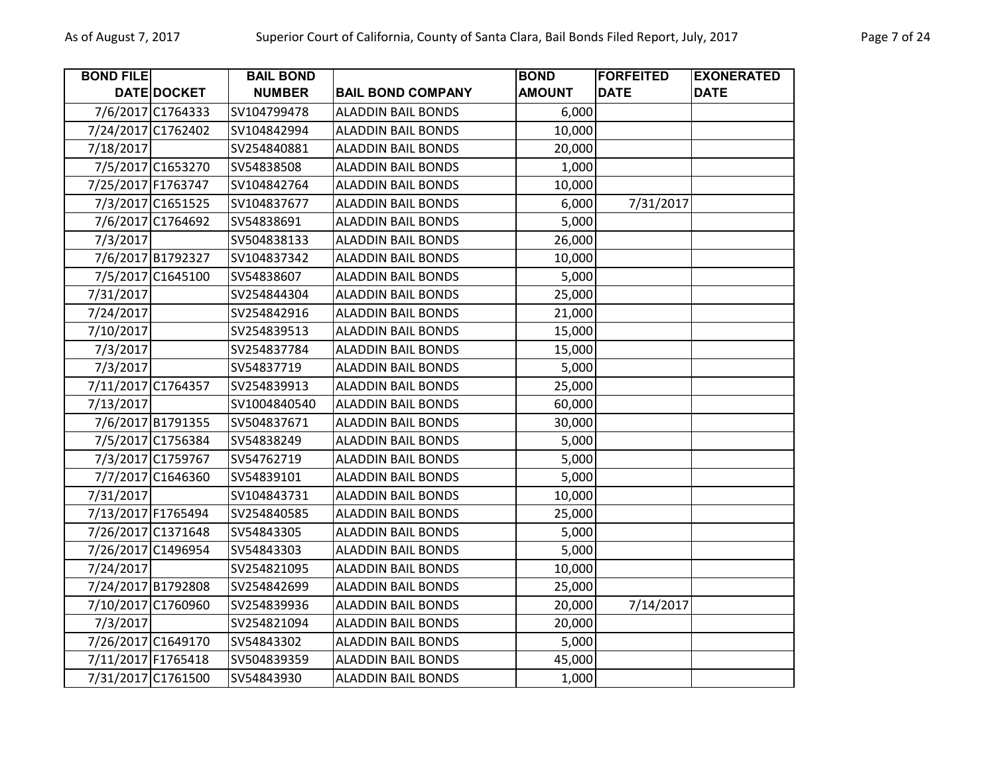| <b>BOND FILE</b>   |                    | <b>BAIL BOND</b> |                           | <b>BOND</b>   | <b>FORFEITED</b> | <b>EXONERATED</b> |
|--------------------|--------------------|------------------|---------------------------|---------------|------------------|-------------------|
|                    | <b>DATE DOCKET</b> | <b>NUMBER</b>    | <b>BAIL BOND COMPANY</b>  | <b>AMOUNT</b> | <b>DATE</b>      | <b>DATE</b>       |
|                    | 7/6/2017 C1764333  | SV104799478      | <b>ALADDIN BAIL BONDS</b> | 6,000         |                  |                   |
| 7/24/2017 C1762402 |                    | SV104842994      | <b>ALADDIN BAIL BONDS</b> | 10,000        |                  |                   |
| 7/18/2017          |                    | SV254840881      | <b>ALADDIN BAIL BONDS</b> | 20,000        |                  |                   |
|                    | 7/5/2017 C1653270  | SV54838508       | <b>ALADDIN BAIL BONDS</b> | 1,000         |                  |                   |
| 7/25/2017 F1763747 |                    | SV104842764      | <b>ALADDIN BAIL BONDS</b> | 10,000        |                  |                   |
|                    | 7/3/2017 C1651525  | SV104837677      | <b>ALADDIN BAIL BONDS</b> | 6,000         | 7/31/2017        |                   |
|                    | 7/6/2017 C1764692  | SV54838691       | <b>ALADDIN BAIL BONDS</b> | 5,000         |                  |                   |
| 7/3/2017           |                    | SV504838133      | <b>ALADDIN BAIL BONDS</b> | 26,000        |                  |                   |
|                    | 7/6/2017 B1792327  | SV104837342      | <b>ALADDIN BAIL BONDS</b> | 10,000        |                  |                   |
|                    | 7/5/2017 C1645100  | SV54838607       | <b>ALADDIN BAIL BONDS</b> | 5,000         |                  |                   |
| 7/31/2017          |                    | SV254844304      | <b>ALADDIN BAIL BONDS</b> | 25,000        |                  |                   |
| 7/24/2017          |                    | SV254842916      | <b>ALADDIN BAIL BONDS</b> | 21,000        |                  |                   |
| 7/10/2017          |                    | SV254839513      | <b>ALADDIN BAIL BONDS</b> | 15,000        |                  |                   |
| 7/3/2017           |                    | SV254837784      | <b>ALADDIN BAIL BONDS</b> | 15,000        |                  |                   |
| 7/3/2017           |                    | SV54837719       | <b>ALADDIN BAIL BONDS</b> | 5,000         |                  |                   |
| 7/11/2017 C1764357 |                    | SV254839913      | <b>ALADDIN BAIL BONDS</b> | 25,000        |                  |                   |
| 7/13/2017          |                    | SV1004840540     | <b>ALADDIN BAIL BONDS</b> | 60,000        |                  |                   |
|                    | 7/6/2017 B1791355  | SV504837671      | <b>ALADDIN BAIL BONDS</b> | 30,000        |                  |                   |
|                    | 7/5/2017 C1756384  | SV54838249       | <b>ALADDIN BAIL BONDS</b> | 5,000         |                  |                   |
|                    | 7/3/2017 C1759767  | SV54762719       | <b>ALADDIN BAIL BONDS</b> | 5,000         |                  |                   |
|                    | 7/7/2017 C1646360  | SV54839101       | <b>ALADDIN BAIL BONDS</b> | 5,000         |                  |                   |
| 7/31/2017          |                    | SV104843731      | <b>ALADDIN BAIL BONDS</b> | 10,000        |                  |                   |
| 7/13/2017 F1765494 |                    | SV254840585      | <b>ALADDIN BAIL BONDS</b> | 25,000        |                  |                   |
| 7/26/2017 C1371648 |                    | SV54843305       | <b>ALADDIN BAIL BONDS</b> | 5,000         |                  |                   |
| 7/26/2017 C1496954 |                    | SV54843303       | <b>ALADDIN BAIL BONDS</b> | 5,000         |                  |                   |
| 7/24/2017          |                    | SV254821095      | <b>ALADDIN BAIL BONDS</b> | 10,000        |                  |                   |
| 7/24/2017 B1792808 |                    | SV254842699      | <b>ALADDIN BAIL BONDS</b> | 25,000        |                  |                   |
| 7/10/2017 C1760960 |                    | SV254839936      | <b>ALADDIN BAIL BONDS</b> | 20,000        | 7/14/2017        |                   |
| 7/3/2017           |                    | SV254821094      | <b>ALADDIN BAIL BONDS</b> | 20,000        |                  |                   |
| 7/26/2017 C1649170 |                    | SV54843302       | <b>ALADDIN BAIL BONDS</b> | 5,000         |                  |                   |
| 7/11/2017 F1765418 |                    | SV504839359      | <b>ALADDIN BAIL BONDS</b> | 45,000        |                  |                   |
| 7/31/2017 C1761500 |                    | SV54843930       | <b>ALADDIN BAIL BONDS</b> | 1,000         |                  |                   |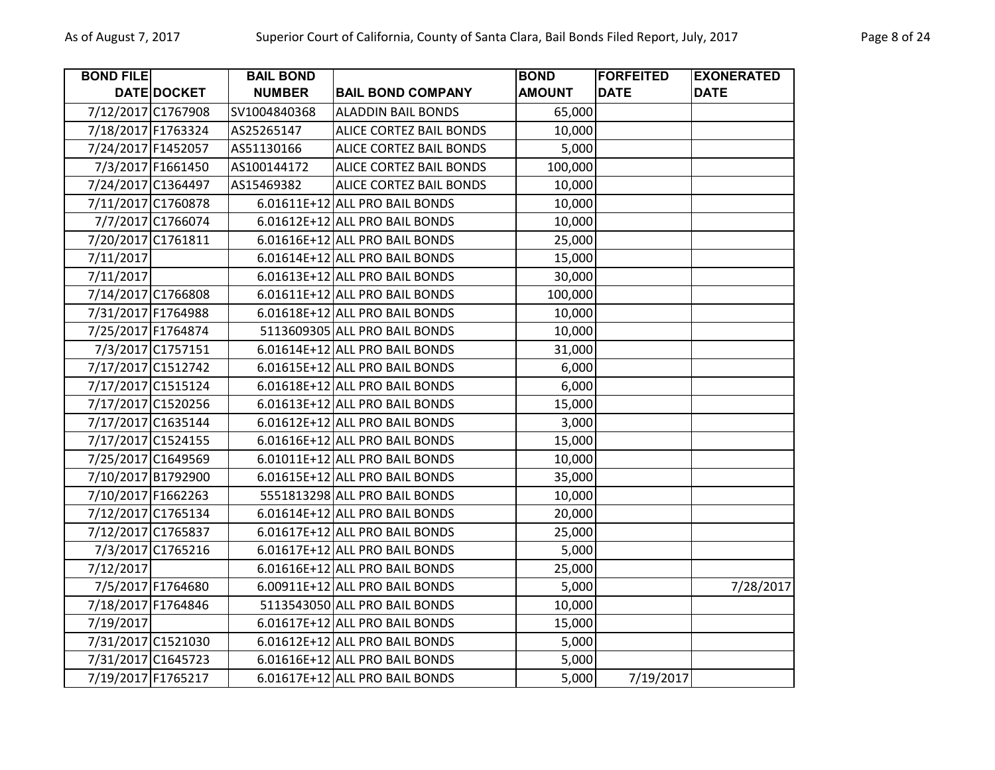| <b>BOND FILE</b>   |                   | <b>BAIL BOND</b> |                                | <b>BOND</b>   | <b>FORFEITED</b> | <b>EXONERATED</b> |
|--------------------|-------------------|------------------|--------------------------------|---------------|------------------|-------------------|
|                    | DATE DOCKET       | <b>NUMBER</b>    | <b>BAIL BOND COMPANY</b>       | <b>AMOUNT</b> | <b>DATE</b>      | <b>DATE</b>       |
| 7/12/2017 C1767908 |                   | SV1004840368     | <b>ALADDIN BAIL BONDS</b>      | 65,000        |                  |                   |
| 7/18/2017 F1763324 |                   | AS25265147       | <b>ALICE CORTEZ BAIL BONDS</b> | 10,000        |                  |                   |
| 7/24/2017 F1452057 |                   | AS51130166       | ALICE CORTEZ BAIL BONDS        | 5,000         |                  |                   |
|                    | 7/3/2017 F1661450 | AS100144172      | ALICE CORTEZ BAIL BONDS        | 100,000       |                  |                   |
| 7/24/2017 C1364497 |                   | AS15469382       | ALICE CORTEZ BAIL BONDS        | 10,000        |                  |                   |
| 7/11/2017 C1760878 |                   |                  | 6.01611E+12 ALL PRO BAIL BONDS | 10,000        |                  |                   |
|                    | 7/7/2017 C1766074 |                  | 6.01612E+12 ALL PRO BAIL BONDS | 10,000        |                  |                   |
| 7/20/2017 C1761811 |                   |                  | 6.01616E+12 ALL PRO BAIL BONDS | 25,000        |                  |                   |
| 7/11/2017          |                   |                  | 6.01614E+12 ALL PRO BAIL BONDS | 15,000        |                  |                   |
| 7/11/2017          |                   |                  | 6.01613E+12 ALL PRO BAIL BONDS | 30,000        |                  |                   |
| 7/14/2017 C1766808 |                   |                  | 6.01611E+12 ALL PRO BAIL BONDS | 100,000       |                  |                   |
| 7/31/2017 F1764988 |                   |                  | 6.01618E+12 ALL PRO BAIL BONDS | 10,000        |                  |                   |
| 7/25/2017 F1764874 |                   |                  | 5113609305 ALL PRO BAIL BONDS  | 10,000        |                  |                   |
|                    | 7/3/2017 C1757151 |                  | 6.01614E+12 ALL PRO BAIL BONDS | 31,000        |                  |                   |
| 7/17/2017 C1512742 |                   |                  | 6.01615E+12 ALL PRO BAIL BONDS | 6,000         |                  |                   |
| 7/17/2017 C1515124 |                   |                  | 6.01618E+12 ALL PRO BAIL BONDS | 6,000         |                  |                   |
| 7/17/2017 C1520256 |                   |                  | 6.01613E+12 ALL PRO BAIL BONDS | 15,000        |                  |                   |
| 7/17/2017 C1635144 |                   |                  | 6.01612E+12 ALL PRO BAIL BONDS | 3,000         |                  |                   |
| 7/17/2017 C1524155 |                   |                  | 6.01616E+12 ALL PRO BAIL BONDS | 15,000        |                  |                   |
| 7/25/2017 C1649569 |                   |                  | 6.01011E+12 ALL PRO BAIL BONDS | 10,000        |                  |                   |
| 7/10/2017 B1792900 |                   |                  | 6.01615E+12 ALL PRO BAIL BONDS | 35,000        |                  |                   |
| 7/10/2017 F1662263 |                   |                  | 5551813298 ALL PRO BAIL BONDS  | 10,000        |                  |                   |
| 7/12/2017 C1765134 |                   |                  | 6.01614E+12 ALL PRO BAIL BONDS | 20,000        |                  |                   |
| 7/12/2017 C1765837 |                   |                  | 6.01617E+12 ALL PRO BAIL BONDS | 25,000        |                  |                   |
|                    | 7/3/2017 C1765216 |                  | 6.01617E+12 ALL PRO BAIL BONDS | 5,000         |                  |                   |
| 7/12/2017          |                   |                  | 6.01616E+12 ALL PRO BAIL BONDS | 25,000        |                  |                   |
|                    | 7/5/2017 F1764680 |                  | 6.00911E+12 ALL PRO BAIL BONDS | 5,000         |                  | 7/28/2017         |
| 7/18/2017 F1764846 |                   |                  | 5113543050 ALL PRO BAIL BONDS  | 10,000        |                  |                   |
| 7/19/2017          |                   |                  | 6.01617E+12 ALL PRO BAIL BONDS | 15,000        |                  |                   |
| 7/31/2017 C1521030 |                   |                  | 6.01612E+12 ALL PRO BAIL BONDS | 5,000         |                  |                   |
| 7/31/2017 C1645723 |                   |                  | 6.01616E+12 ALL PRO BAIL BONDS | 5,000         |                  |                   |
| 7/19/2017 F1765217 |                   |                  | 6.01617E+12 ALL PRO BAIL BONDS | 5,000         | 7/19/2017        |                   |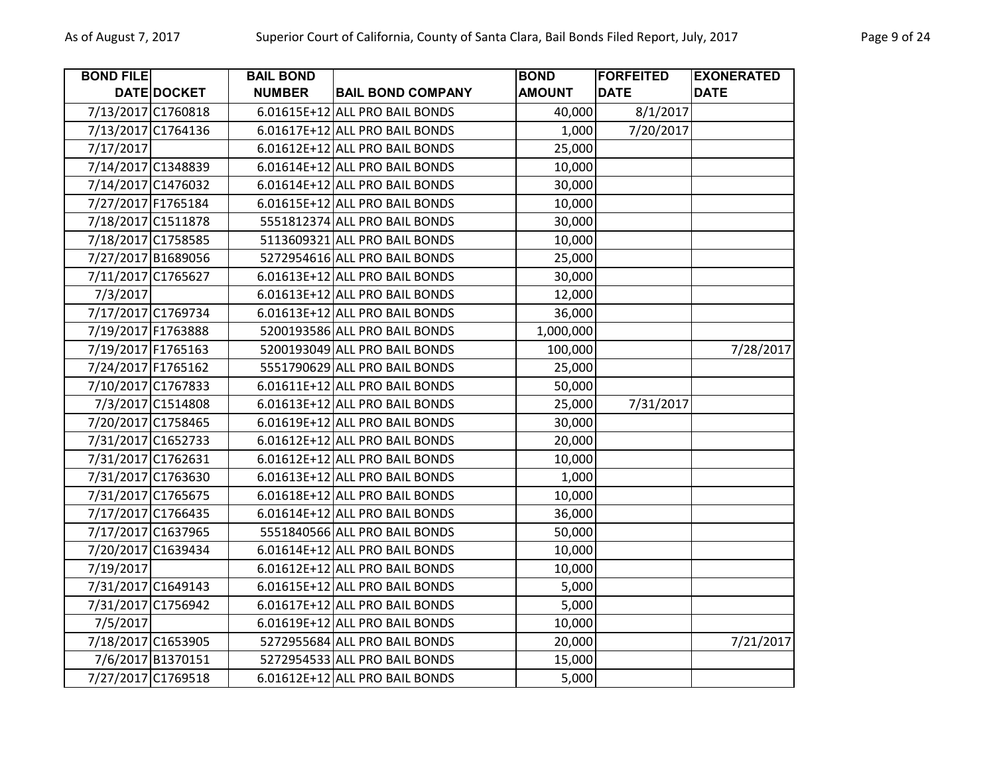| <b>BOND FILE</b>   |                    | <b>BAIL BOND</b> |                                | <b>BOND</b>   | <b>FORFEITED</b> | <b>EXONERATED</b> |
|--------------------|--------------------|------------------|--------------------------------|---------------|------------------|-------------------|
|                    | DATE DOCKET        | <b>NUMBER</b>    | <b>BAIL BOND COMPANY</b>       | <b>AMOUNT</b> | <b>DATE</b>      | <b>DATE</b>       |
|                    | 7/13/2017 C1760818 |                  | 6.01615E+12 ALL PRO BAIL BONDS | 40,000        | 8/1/2017         |                   |
|                    | 7/13/2017 C1764136 |                  | 6.01617E+12 ALL PRO BAIL BONDS | 1,000         | 7/20/2017        |                   |
| 7/17/2017          |                    |                  | 6.01612E+12 ALL PRO BAIL BONDS | 25,000        |                  |                   |
|                    | 7/14/2017 C1348839 |                  | 6.01614E+12 ALL PRO BAIL BONDS | 10,000        |                  |                   |
|                    | 7/14/2017 C1476032 |                  | 6.01614E+12 ALL PRO BAIL BONDS | 30,000        |                  |                   |
|                    | 7/27/2017 F1765184 |                  | 6.01615E+12 ALL PRO BAIL BONDS | 10,000        |                  |                   |
|                    | 7/18/2017 C1511878 |                  | 5551812374 ALL PRO BAIL BONDS  | 30,000        |                  |                   |
|                    | 7/18/2017 C1758585 |                  | 5113609321 ALL PRO BAIL BONDS  | 10,000        |                  |                   |
|                    | 7/27/2017 B1689056 |                  | 5272954616 ALL PRO BAIL BONDS  | 25,000        |                  |                   |
|                    | 7/11/2017 C1765627 |                  | 6.01613E+12 ALL PRO BAIL BONDS | 30,000        |                  |                   |
| 7/3/2017           |                    |                  | 6.01613E+12 ALL PRO BAIL BONDS | 12,000        |                  |                   |
|                    | 7/17/2017 C1769734 |                  | 6.01613E+12 ALL PRO BAIL BONDS | 36,000        |                  |                   |
| 7/19/2017 F1763888 |                    |                  | 5200193586 ALL PRO BAIL BONDS  | 1,000,000     |                  |                   |
| 7/19/2017 F1765163 |                    |                  | 5200193049 ALL PRO BAIL BONDS  | 100,000       |                  | 7/28/2017         |
| 7/24/2017 F1765162 |                    |                  | 5551790629 ALL PRO BAIL BONDS  | 25,000        |                  |                   |
|                    | 7/10/2017 C1767833 |                  | 6.01611E+12 ALL PRO BAIL BONDS | 50,000        |                  |                   |
|                    | 7/3/2017 C1514808  |                  | 6.01613E+12 ALL PRO BAIL BONDS | 25,000        | 7/31/2017        |                   |
|                    | 7/20/2017 C1758465 |                  | 6.01619E+12 ALL PRO BAIL BONDS | 30,000        |                  |                   |
|                    | 7/31/2017 C1652733 |                  | 6.01612E+12 ALL PRO BAIL BONDS | 20,000        |                  |                   |
|                    | 7/31/2017 C1762631 |                  | 6.01612E+12 ALL PRO BAIL BONDS | 10,000        |                  |                   |
|                    | 7/31/2017 C1763630 |                  | 6.01613E+12 ALL PRO BAIL BONDS | 1,000         |                  |                   |
|                    | 7/31/2017 C1765675 |                  | 6.01618E+12 ALL PRO BAIL BONDS | 10,000        |                  |                   |
|                    | 7/17/2017 C1766435 |                  | 6.01614E+12 ALL PRO BAIL BONDS | 36,000        |                  |                   |
|                    | 7/17/2017 C1637965 |                  | 5551840566 ALL PRO BAIL BONDS  | 50,000        |                  |                   |
|                    | 7/20/2017 C1639434 |                  | 6.01614E+12 ALL PRO BAIL BONDS | 10,000        |                  |                   |
| 7/19/2017          |                    |                  | 6.01612E+12 ALL PRO BAIL BONDS | 10,000        |                  |                   |
|                    | 7/31/2017 C1649143 |                  | 6.01615E+12 ALL PRO BAIL BONDS | 5,000         |                  |                   |
|                    | 7/31/2017 C1756942 |                  | 6.01617E+12 ALL PRO BAIL BONDS | 5,000         |                  |                   |
| 7/5/2017           |                    |                  | 6.01619E+12 ALL PRO BAIL BONDS | 10,000        |                  |                   |
|                    | 7/18/2017 C1653905 |                  | 5272955684 ALL PRO BAIL BONDS  | 20,000        |                  | 7/21/2017         |
|                    | 7/6/2017 B1370151  |                  | 5272954533 ALL PRO BAIL BONDS  | 15,000        |                  |                   |
|                    | 7/27/2017 C1769518 |                  | 6.01612E+12 ALL PRO BAIL BONDS | 5,000         |                  |                   |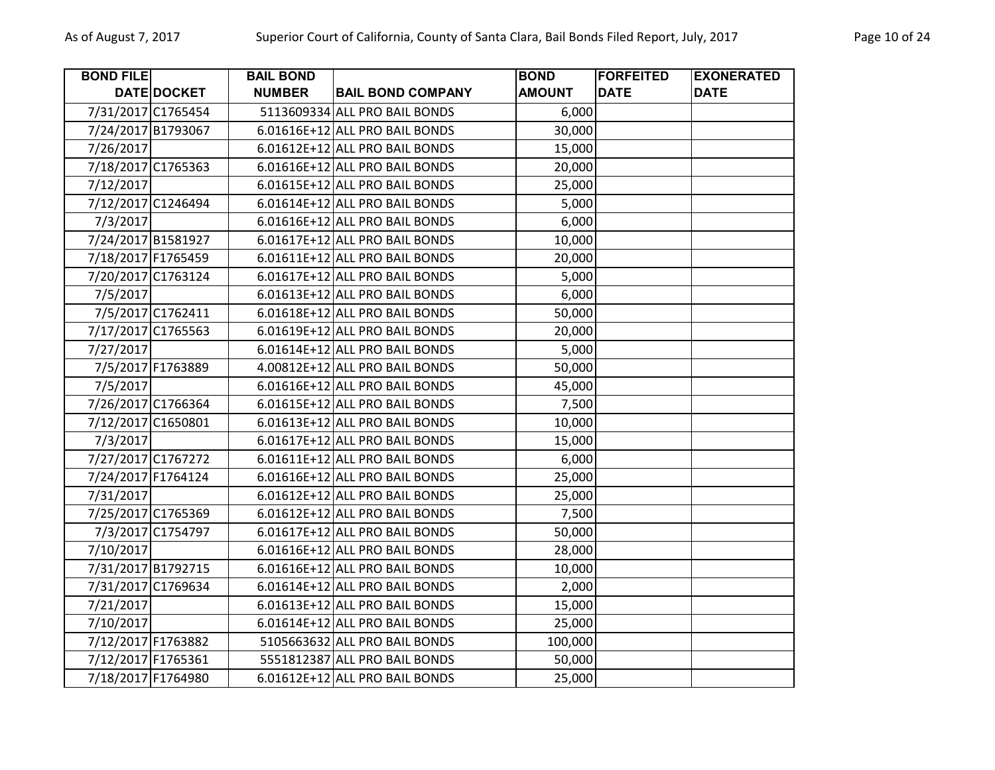| <b>BOND FILE</b>   |                    | <b>BAIL BOND</b> |                                | <b>BOND</b>   | <b>FORFEITED</b> | <b>EXONERATED</b> |
|--------------------|--------------------|------------------|--------------------------------|---------------|------------------|-------------------|
|                    | <b>DATE DOCKET</b> | <b>NUMBER</b>    | <b>BAIL BOND COMPANY</b>       | <b>AMOUNT</b> | <b>DATE</b>      | <b>DATE</b>       |
|                    | 7/31/2017 C1765454 |                  | 5113609334 ALL PRO BAIL BONDS  | 6,000         |                  |                   |
|                    | 7/24/2017 B1793067 |                  | 6.01616E+12 ALL PRO BAIL BONDS | 30,000        |                  |                   |
| 7/26/2017          |                    |                  | 6.01612E+12 ALL PRO BAIL BONDS | 15,000        |                  |                   |
| 7/18/2017 C1765363 |                    |                  | 6.01616E+12 ALL PRO BAIL BONDS | 20,000        |                  |                   |
| 7/12/2017          |                    |                  | 6.01615E+12 ALL PRO BAIL BONDS | 25,000        |                  |                   |
|                    | 7/12/2017 C1246494 |                  | 6.01614E+12 ALL PRO BAIL BONDS | 5,000         |                  |                   |
| 7/3/2017           |                    |                  | 6.01616E+12 ALL PRO BAIL BONDS | 6,000         |                  |                   |
|                    | 7/24/2017 B1581927 |                  | 6.01617E+12 ALL PRO BAIL BONDS | 10,000        |                  |                   |
| 7/18/2017 F1765459 |                    |                  | 6.01611E+12 ALL PRO BAIL BONDS | 20,000        |                  |                   |
|                    | 7/20/2017 C1763124 |                  | 6.01617E+12 ALL PRO BAIL BONDS | 5,000         |                  |                   |
| 7/5/2017           |                    |                  | 6.01613E+12 ALL PRO BAIL BONDS | 6,000         |                  |                   |
|                    | 7/5/2017 C1762411  |                  | 6.01618E+12 ALL PRO BAIL BONDS | 50,000        |                  |                   |
|                    | 7/17/2017 C1765563 |                  | 6.01619E+12 ALL PRO BAIL BONDS | 20,000        |                  |                   |
| 7/27/2017          |                    |                  | 6.01614E+12 ALL PRO BAIL BONDS | 5,000         |                  |                   |
|                    | 7/5/2017 F1763889  |                  | 4.00812E+12 ALL PRO BAIL BONDS | 50,000        |                  |                   |
| 7/5/2017           |                    |                  | 6.01616E+12 ALL PRO BAIL BONDS | 45,000        |                  |                   |
|                    | 7/26/2017 C1766364 |                  | 6.01615E+12 ALL PRO BAIL BONDS | 7,500         |                  |                   |
| 7/12/2017 C1650801 |                    |                  | 6.01613E+12 ALL PRO BAIL BONDS | 10,000        |                  |                   |
| 7/3/2017           |                    |                  | 6.01617E+12 ALL PRO BAIL BONDS | 15,000        |                  |                   |
|                    | 7/27/2017 C1767272 |                  | 6.01611E+12 ALL PRO BAIL BONDS | 6,000         |                  |                   |
| 7/24/2017 F1764124 |                    |                  | 6.01616E+12 ALL PRO BAIL BONDS | 25,000        |                  |                   |
| 7/31/2017          |                    |                  | 6.01612E+12 ALL PRO BAIL BONDS | 25,000        |                  |                   |
|                    | 7/25/2017 C1765369 |                  | 6.01612E+12 ALL PRO BAIL BONDS | 7,500         |                  |                   |
|                    | 7/3/2017 C1754797  |                  | 6.01617E+12 ALL PRO BAIL BONDS | 50,000        |                  |                   |
| 7/10/2017          |                    |                  | 6.01616E+12 ALL PRO BAIL BONDS | 28,000        |                  |                   |
|                    | 7/31/2017 B1792715 |                  | 6.01616E+12 ALL PRO BAIL BONDS | 10,000        |                  |                   |
|                    | 7/31/2017 C1769634 |                  | 6.01614E+12 ALL PRO BAIL BONDS | 2,000         |                  |                   |
| 7/21/2017          |                    |                  | 6.01613E+12 ALL PRO BAIL BONDS | 15,000        |                  |                   |
| 7/10/2017          |                    |                  | 6.01614E+12 ALL PRO BAIL BONDS | 25,000        |                  |                   |
|                    | 7/12/2017 F1763882 |                  | 5105663632 ALL PRO BAIL BONDS  | 100,000       |                  |                   |
| 7/12/2017 F1765361 |                    |                  | 5551812387 ALL PRO BAIL BONDS  | 50,000        |                  |                   |
| 7/18/2017 F1764980 |                    |                  | 6.01612E+12 ALL PRO BAIL BONDS | 25,000        |                  |                   |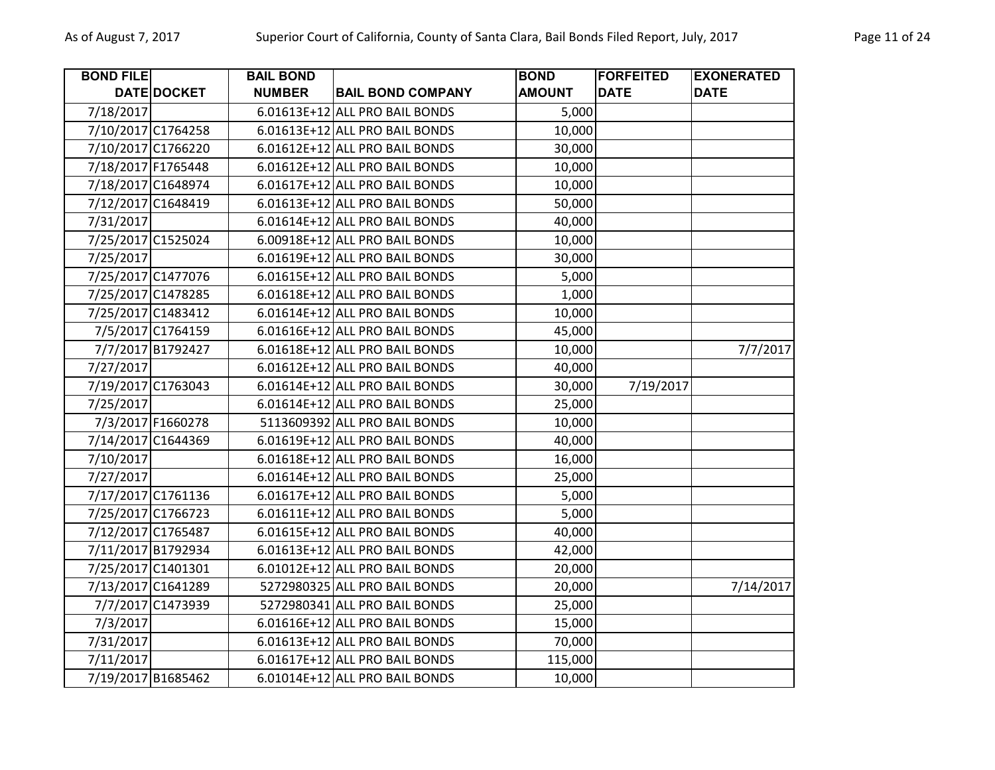| <b>BOND FILE</b>   |                    | <b>BAIL BOND</b> |                                | <b>BOND</b>   | <b>FORFEITED</b> | <b>EXONERATED</b> |
|--------------------|--------------------|------------------|--------------------------------|---------------|------------------|-------------------|
|                    | DATE DOCKET        | <b>NUMBER</b>    | <b>BAIL BOND COMPANY</b>       | <b>AMOUNT</b> | <b>DATE</b>      | <b>DATE</b>       |
| 7/18/2017          |                    |                  | 6.01613E+12 ALL PRO BAIL BONDS | 5,000         |                  |                   |
| 7/10/2017 C1764258 |                    |                  | 6.01613E+12 ALL PRO BAIL BONDS | 10,000        |                  |                   |
| 7/10/2017 C1766220 |                    |                  | 6.01612E+12 ALL PRO BAIL BONDS | 30,000        |                  |                   |
| 7/18/2017 F1765448 |                    |                  | 6.01612E+12 ALL PRO BAIL BONDS | 10,000        |                  |                   |
|                    | 7/18/2017 C1648974 |                  | 6.01617E+12 ALL PRO BAIL BONDS | 10,000        |                  |                   |
|                    | 7/12/2017 C1648419 |                  | 6.01613E+12 ALL PRO BAIL BONDS | 50,000        |                  |                   |
| 7/31/2017          |                    |                  | 6.01614E+12 ALL PRO BAIL BONDS | 40,000        |                  |                   |
| 7/25/2017 C1525024 |                    |                  | 6.00918E+12 ALL PRO BAIL BONDS | 10,000        |                  |                   |
| 7/25/2017          |                    |                  | 6.01619E+12 ALL PRO BAIL BONDS | 30,000        |                  |                   |
|                    | 7/25/2017 C1477076 |                  | 6.01615E+12 ALL PRO BAIL BONDS | 5,000         |                  |                   |
|                    | 7/25/2017 C1478285 |                  | 6.01618E+12 ALL PRO BAIL BONDS | 1,000         |                  |                   |
|                    | 7/25/2017 C1483412 |                  | 6.01614E+12 ALL PRO BAIL BONDS | 10,000        |                  |                   |
|                    | 7/5/2017 C1764159  |                  | 6.01616E+12 ALL PRO BAIL BONDS | 45,000        |                  |                   |
|                    | 7/7/2017 B1792427  |                  | 6.01618E+12 ALL PRO BAIL BONDS | 10,000        |                  | 7/7/2017          |
| 7/27/2017          |                    |                  | 6.01612E+12 ALL PRO BAIL BONDS | 40,000        |                  |                   |
|                    | 7/19/2017 C1763043 |                  | 6.01614E+12 ALL PRO BAIL BONDS | 30,000        | 7/19/2017        |                   |
| 7/25/2017          |                    |                  | 6.01614E+12 ALL PRO BAIL BONDS | 25,000        |                  |                   |
|                    | 7/3/2017 F1660278  |                  | 5113609392 ALL PRO BAIL BONDS  | 10,000        |                  |                   |
|                    | 7/14/2017 C1644369 |                  | 6.01619E+12 ALL PRO BAIL BONDS | 40,000        |                  |                   |
| 7/10/2017          |                    |                  | 6.01618E+12 ALL PRO BAIL BONDS | 16,000        |                  |                   |
| 7/27/2017          |                    |                  | 6.01614E+12 ALL PRO BAIL BONDS | 25,000        |                  |                   |
| 7/17/2017 C1761136 |                    |                  | 6.01617E+12 ALL PRO BAIL BONDS | 5,000         |                  |                   |
|                    | 7/25/2017 C1766723 |                  | 6.01611E+12 ALL PRO BAIL BONDS | 5,000         |                  |                   |
|                    | 7/12/2017 C1765487 |                  | 6.01615E+12 ALL PRO BAIL BONDS | 40,000        |                  |                   |
|                    | 7/11/2017 B1792934 |                  | 6.01613E+12 ALL PRO BAIL BONDS | 42,000        |                  |                   |
| 7/25/2017 C1401301 |                    |                  | 6.01012E+12 ALL PRO BAIL BONDS | 20,000        |                  |                   |
| 7/13/2017 C1641289 |                    |                  | 5272980325 ALL PRO BAIL BONDS  | 20,000        |                  | 7/14/2017         |
|                    | 7/7/2017 C1473939  |                  | 5272980341 ALL PRO BAIL BONDS  | 25,000        |                  |                   |
| 7/3/2017           |                    |                  | 6.01616E+12 ALL PRO BAIL BONDS | 15,000        |                  |                   |
| 7/31/2017          |                    |                  | 6.01613E+12 ALL PRO BAIL BONDS | 70,000        |                  |                   |
| 7/11/2017          |                    |                  | 6.01617E+12 ALL PRO BAIL BONDS | 115,000       |                  |                   |
| 7/19/2017 B1685462 |                    |                  | 6.01014E+12 ALL PRO BAIL BONDS | 10,000        |                  |                   |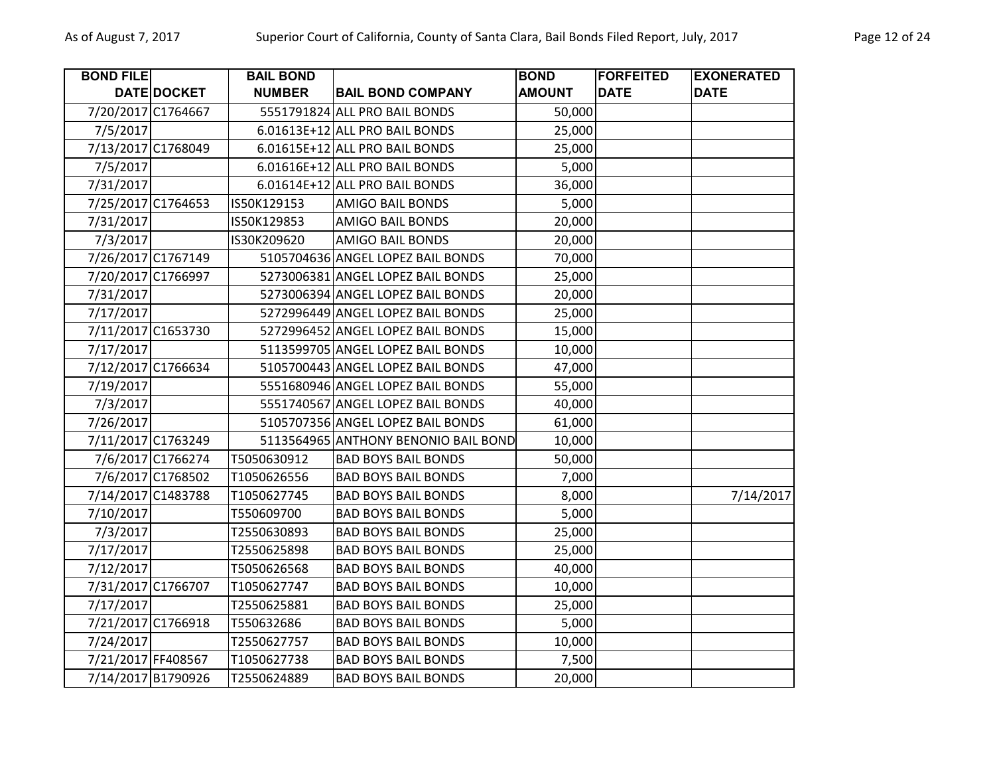| <b>BOND FILE</b>   |                    | <b>BAIL BOND</b> |                                      | <b>BOND</b>   | <b>FORFEITED</b> | <b>EXONERATED</b> |
|--------------------|--------------------|------------------|--------------------------------------|---------------|------------------|-------------------|
|                    | DATE DOCKET        | <b>NUMBER</b>    | <b>BAIL BOND COMPANY</b>             | <b>AMOUNT</b> | <b>DATE</b>      | <b>DATE</b>       |
|                    | 7/20/2017 C1764667 |                  | 5551791824 ALL PRO BAIL BONDS        | 50,000        |                  |                   |
| 7/5/2017           |                    |                  | 6.01613E+12 ALL PRO BAIL BONDS       | 25,000        |                  |                   |
|                    | 7/13/2017 C1768049 |                  | 6.01615E+12 ALL PRO BAIL BONDS       | 25,000        |                  |                   |
| 7/5/2017           |                    |                  | 6.01616E+12 ALL PRO BAIL BONDS       | 5,000         |                  |                   |
| 7/31/2017          |                    |                  | 6.01614E+12 ALL PRO BAIL BONDS       | 36,000        |                  |                   |
|                    | 7/25/2017 C1764653 | IS50K129153      | <b>AMIGO BAIL BONDS</b>              | 5,000         |                  |                   |
| 7/31/2017          |                    | IS50K129853      | <b>AMIGO BAIL BONDS</b>              | 20,000        |                  |                   |
| 7/3/2017           |                    | IS30K209620      | <b>AMIGO BAIL BONDS</b>              | 20,000        |                  |                   |
|                    | 7/26/2017 C1767149 |                  | 5105704636 ANGEL LOPEZ BAIL BONDS    | 70,000        |                  |                   |
|                    | 7/20/2017 C1766997 |                  | 5273006381 ANGEL LOPEZ BAIL BONDS    | 25,000        |                  |                   |
| 7/31/2017          |                    |                  | 5273006394 ANGEL LOPEZ BAIL BONDS    | 20,000        |                  |                   |
| 7/17/2017          |                    |                  | 5272996449 ANGEL LOPEZ BAIL BONDS    | 25,000        |                  |                   |
|                    | 7/11/2017 C1653730 |                  | 5272996452 ANGEL LOPEZ BAIL BONDS    | 15,000        |                  |                   |
| 7/17/2017          |                    |                  | 5113599705 ANGEL LOPEZ BAIL BONDS    | 10,000        |                  |                   |
|                    | 7/12/2017 C1766634 |                  | 5105700443 ANGEL LOPEZ BAIL BONDS    | 47,000        |                  |                   |
| 7/19/2017          |                    |                  | 5551680946 ANGEL LOPEZ BAIL BONDS    | 55,000        |                  |                   |
| 7/3/2017           |                    |                  | 5551740567 ANGEL LOPEZ BAIL BONDS    | 40,000        |                  |                   |
| 7/26/2017          |                    |                  | 5105707356 ANGEL LOPEZ BAIL BONDS    | 61,000        |                  |                   |
|                    | 7/11/2017 C1763249 |                  | 5113564965 ANTHONY BENONIO BAIL BOND | 10,000        |                  |                   |
|                    | 7/6/2017 C1766274  | T5050630912      | <b>BAD BOYS BAIL BONDS</b>           | 50,000        |                  |                   |
|                    | 7/6/2017 C1768502  | T1050626556      | <b>BAD BOYS BAIL BONDS</b>           | 7,000         |                  |                   |
|                    | 7/14/2017 C1483788 | T1050627745      | <b>BAD BOYS BAIL BONDS</b>           | 8,000         |                  | 7/14/2017         |
| 7/10/2017          |                    | T550609700       | <b>BAD BOYS BAIL BONDS</b>           | 5,000         |                  |                   |
| 7/3/2017           |                    | T2550630893      | <b>BAD BOYS BAIL BONDS</b>           | 25,000        |                  |                   |
| 7/17/2017          |                    | T2550625898      | <b>BAD BOYS BAIL BONDS</b>           | 25,000        |                  |                   |
| 7/12/2017          |                    | T5050626568      | <b>BAD BOYS BAIL BONDS</b>           | 40,000        |                  |                   |
|                    | 7/31/2017 C1766707 | T1050627747      | <b>BAD BOYS BAIL BONDS</b>           | 10,000        |                  |                   |
| 7/17/2017          |                    | T2550625881      | <b>BAD BOYS BAIL BONDS</b>           | 25,000        |                  |                   |
|                    | 7/21/2017 C1766918 | T550632686       | <b>BAD BOYS BAIL BONDS</b>           | 5,000         |                  |                   |
| 7/24/2017          |                    | T2550627757      | <b>BAD BOYS BAIL BONDS</b>           | 10,000        |                  |                   |
| 7/21/2017 FF408567 |                    | T1050627738      | <b>BAD BOYS BAIL BONDS</b>           | 7,500         |                  |                   |
|                    | 7/14/2017 B1790926 | T2550624889      | <b>BAD BOYS BAIL BONDS</b>           | 20,000        |                  |                   |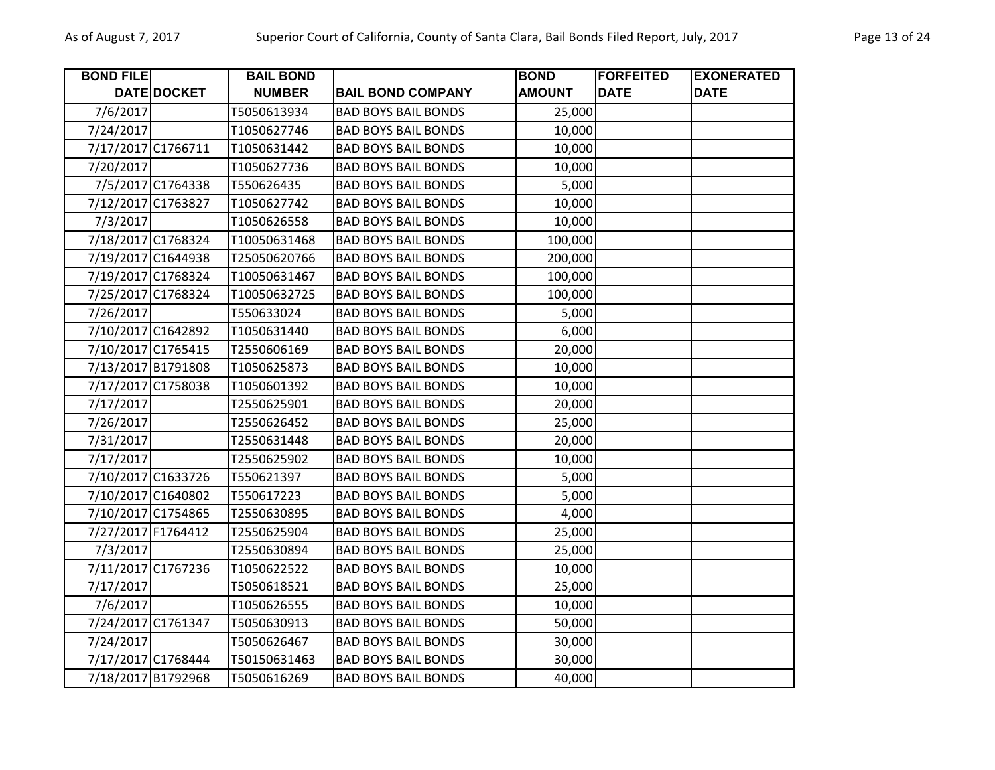| <b>BOND FILE</b>   |                    | <b>BAIL BOND</b> |                            | <b>BOND</b>   | <b>FORFEITED</b> | <b>EXONERATED</b> |
|--------------------|--------------------|------------------|----------------------------|---------------|------------------|-------------------|
|                    | DATE DOCKET        | <b>NUMBER</b>    | <b>BAIL BOND COMPANY</b>   | <b>AMOUNT</b> | <b>DATE</b>      | <b>DATE</b>       |
| 7/6/2017           |                    | T5050613934      | <b>BAD BOYS BAIL BONDS</b> | 25,000        |                  |                   |
| 7/24/2017          |                    | T1050627746      | <b>BAD BOYS BAIL BONDS</b> | 10,000        |                  |                   |
| 7/17/2017 C1766711 |                    | T1050631442      | <b>BAD BOYS BAIL BONDS</b> | 10,000        |                  |                   |
| 7/20/2017          |                    | T1050627736      | <b>BAD BOYS BAIL BONDS</b> | 10,000        |                  |                   |
|                    | 7/5/2017 C1764338  | T550626435       | <b>BAD BOYS BAIL BONDS</b> | 5,000         |                  |                   |
|                    | 7/12/2017 C1763827 | T1050627742      | <b>BAD BOYS BAIL BONDS</b> | 10,000        |                  |                   |
| 7/3/2017           |                    | T1050626558      | <b>BAD BOYS BAIL BONDS</b> | 10,000        |                  |                   |
|                    | 7/18/2017 C1768324 | T10050631468     | <b>BAD BOYS BAIL BONDS</b> | 100,000       |                  |                   |
|                    | 7/19/2017 C1644938 | T25050620766     | <b>BAD BOYS BAIL BONDS</b> | 200,000       |                  |                   |
|                    | 7/19/2017 C1768324 | T10050631467     | <b>BAD BOYS BAIL BONDS</b> | 100,000       |                  |                   |
|                    | 7/25/2017 C1768324 | T10050632725     | <b>BAD BOYS BAIL BONDS</b> | 100,000       |                  |                   |
| 7/26/2017          |                    | T550633024       | <b>BAD BOYS BAIL BONDS</b> | 5,000         |                  |                   |
|                    | 7/10/2017 C1642892 | T1050631440      | <b>BAD BOYS BAIL BONDS</b> | 6,000         |                  |                   |
|                    | 7/10/2017 C1765415 | T2550606169      | <b>BAD BOYS BAIL BONDS</b> | 20,000        |                  |                   |
|                    | 7/13/2017 B1791808 | T1050625873      | <b>BAD BOYS BAIL BONDS</b> | 10,000        |                  |                   |
|                    | 7/17/2017 C1758038 | T1050601392      | <b>BAD BOYS BAIL BONDS</b> | 10,000        |                  |                   |
| 7/17/2017          |                    | T2550625901      | <b>BAD BOYS BAIL BONDS</b> | 20,000        |                  |                   |
| 7/26/2017          |                    | T2550626452      | <b>BAD BOYS BAIL BONDS</b> | 25,000        |                  |                   |
| 7/31/2017          |                    | T2550631448      | <b>BAD BOYS BAIL BONDS</b> | 20,000        |                  |                   |
| 7/17/2017          |                    | T2550625902      | <b>BAD BOYS BAIL BONDS</b> | 10,000        |                  |                   |
|                    | 7/10/2017 C1633726 | T550621397       | <b>BAD BOYS BAIL BONDS</b> | 5,000         |                  |                   |
|                    | 7/10/2017 C1640802 | T550617223       | <b>BAD BOYS BAIL BONDS</b> | 5,000         |                  |                   |
|                    | 7/10/2017 C1754865 | T2550630895      | <b>BAD BOYS BAIL BONDS</b> | 4,000         |                  |                   |
| 7/27/2017 F1764412 |                    | T2550625904      | <b>BAD BOYS BAIL BONDS</b> | 25,000        |                  |                   |
| 7/3/2017           |                    | T2550630894      | <b>BAD BOYS BAIL BONDS</b> | 25,000        |                  |                   |
|                    | 7/11/2017 C1767236 | T1050622522      | <b>BAD BOYS BAIL BONDS</b> | 10,000        |                  |                   |
| 7/17/2017          |                    | T5050618521      | <b>BAD BOYS BAIL BONDS</b> | 25,000        |                  |                   |
| 7/6/2017           |                    | T1050626555      | <b>BAD BOYS BAIL BONDS</b> | 10,000        |                  |                   |
|                    | 7/24/2017 C1761347 | T5050630913      | <b>BAD BOYS BAIL BONDS</b> | 50,000        |                  |                   |
| 7/24/2017          |                    | T5050626467      | <b>BAD BOYS BAIL BONDS</b> | 30,000        |                  |                   |
|                    | 7/17/2017 C1768444 | T50150631463     | <b>BAD BOYS BAIL BONDS</b> | 30,000        |                  |                   |
|                    | 7/18/2017 B1792968 | T5050616269      | <b>BAD BOYS BAIL BONDS</b> | 40,000        |                  |                   |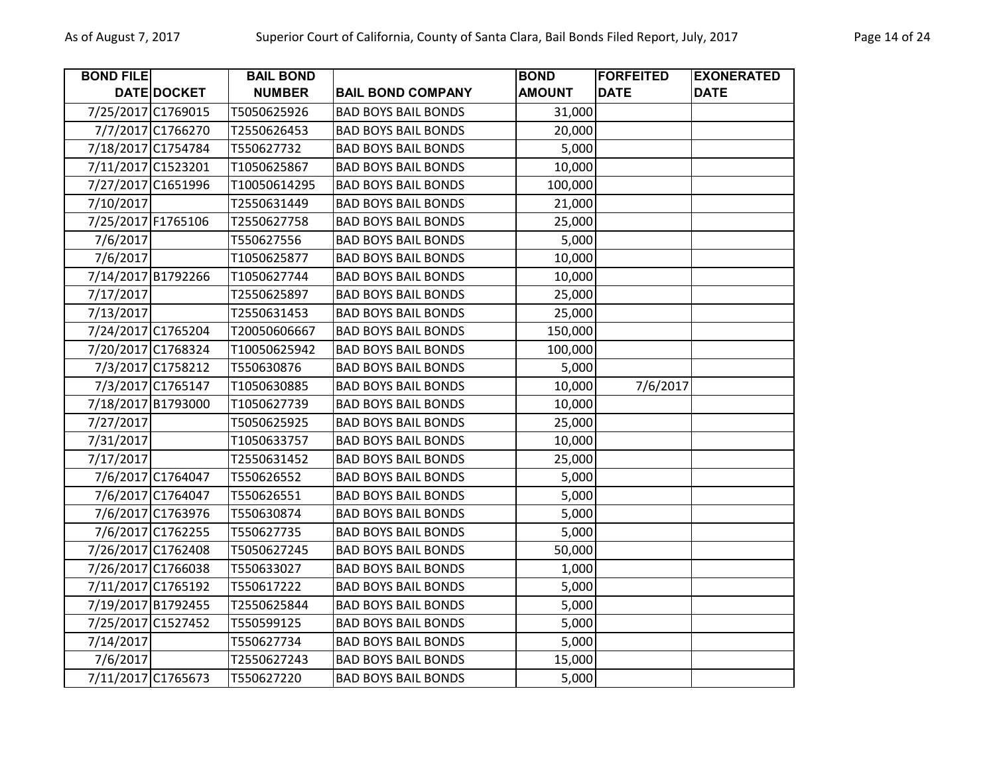| <b>BOND FILE</b>   |                    | <b>BAIL BOND</b> |                            | <b>BOND</b>   | <b>FORFEITED</b> | <b>EXONERATED</b> |
|--------------------|--------------------|------------------|----------------------------|---------------|------------------|-------------------|
|                    | DATE DOCKET        | <b>NUMBER</b>    | <b>BAIL BOND COMPANY</b>   | <b>AMOUNT</b> | <b>DATE</b>      | <b>DATE</b>       |
| 7/25/2017 C1769015 |                    | T5050625926      | <b>BAD BOYS BAIL BONDS</b> | 31,000        |                  |                   |
|                    | 7/7/2017 C1766270  | T2550626453      | <b>BAD BOYS BAIL BONDS</b> | 20,000        |                  |                   |
| 7/18/2017 C1754784 |                    | T550627732       | <b>BAD BOYS BAIL BONDS</b> | 5,000         |                  |                   |
| 7/11/2017 C1523201 |                    | T1050625867      | <b>BAD BOYS BAIL BONDS</b> | 10,000        |                  |                   |
|                    | 7/27/2017 C1651996 | T10050614295     | <b>BAD BOYS BAIL BONDS</b> | 100,000       |                  |                   |
| 7/10/2017          |                    | T2550631449      | <b>BAD BOYS BAIL BONDS</b> | 21,000        |                  |                   |
| 7/25/2017 F1765106 |                    | T2550627758      | <b>BAD BOYS BAIL BONDS</b> | 25,000        |                  |                   |
| 7/6/2017           |                    | T550627556       | <b>BAD BOYS BAIL BONDS</b> | 5,000         |                  |                   |
| 7/6/2017           |                    | T1050625877      | <b>BAD BOYS BAIL BONDS</b> | 10,000        |                  |                   |
|                    | 7/14/2017 B1792266 | T1050627744      | <b>BAD BOYS BAIL BONDS</b> | 10,000        |                  |                   |
| 7/17/2017          |                    | T2550625897      | <b>BAD BOYS BAIL BONDS</b> | 25,000        |                  |                   |
| 7/13/2017          |                    | T2550631453      | <b>BAD BOYS BAIL BONDS</b> | 25,000        |                  |                   |
| 7/24/2017 C1765204 |                    | T20050606667     | <b>BAD BOYS BAIL BONDS</b> | 150,000       |                  |                   |
| 7/20/2017 C1768324 |                    | T10050625942     | <b>BAD BOYS BAIL BONDS</b> | 100,000       |                  |                   |
|                    | 7/3/2017 C1758212  | T550630876       | <b>BAD BOYS BAIL BONDS</b> | 5,000         |                  |                   |
|                    | 7/3/2017 C1765147  | T1050630885      | <b>BAD BOYS BAIL BONDS</b> | 10,000        | 7/6/2017         |                   |
|                    | 7/18/2017 B1793000 | T1050627739      | <b>BAD BOYS BAIL BONDS</b> | 10,000        |                  |                   |
| 7/27/2017          |                    | T5050625925      | <b>BAD BOYS BAIL BONDS</b> | 25,000        |                  |                   |
| 7/31/2017          |                    | T1050633757      | <b>BAD BOYS BAIL BONDS</b> | 10,000        |                  |                   |
| 7/17/2017          |                    | T2550631452      | <b>BAD BOYS BAIL BONDS</b> | 25,000        |                  |                   |
|                    | 7/6/2017 C1764047  | T550626552       | <b>BAD BOYS BAIL BONDS</b> | 5,000         |                  |                   |
|                    | 7/6/2017 C1764047  | T550626551       | <b>BAD BOYS BAIL BONDS</b> | 5,000         |                  |                   |
|                    | 7/6/2017 C1763976  | T550630874       | <b>BAD BOYS BAIL BONDS</b> | 5,000         |                  |                   |
|                    | 7/6/2017 C1762255  | T550627735       | <b>BAD BOYS BAIL BONDS</b> | 5,000         |                  |                   |
|                    | 7/26/2017 C1762408 | T5050627245      | <b>BAD BOYS BAIL BONDS</b> | 50,000        |                  |                   |
| 7/26/2017 C1766038 |                    | T550633027       | <b>BAD BOYS BAIL BONDS</b> | 1,000         |                  |                   |
|                    | 7/11/2017 C1765192 | T550617222       | <b>BAD BOYS BAIL BONDS</b> | 5,000         |                  |                   |
| 7/19/2017 B1792455 |                    | T2550625844      | <b>BAD BOYS BAIL BONDS</b> | 5,000         |                  |                   |
| 7/25/2017 C1527452 |                    | T550599125       | <b>BAD BOYS BAIL BONDS</b> | 5,000         |                  |                   |
| 7/14/2017          |                    | T550627734       | <b>BAD BOYS BAIL BONDS</b> | 5,000         |                  |                   |
| 7/6/2017           |                    | T2550627243      | <b>BAD BOYS BAIL BONDS</b> | 15,000        |                  |                   |
| 7/11/2017 C1765673 |                    | T550627220       | <b>BAD BOYS BAIL BONDS</b> | 5,000         |                  |                   |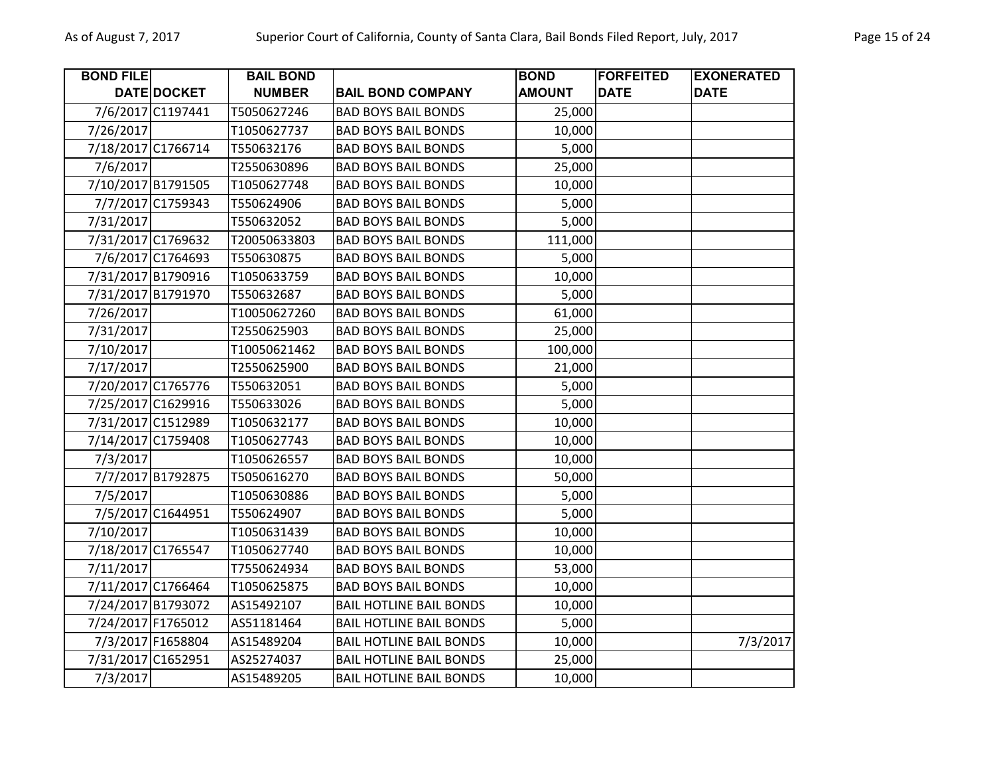| <b>BOND FILE</b>   |                    | <b>BAIL BOND</b> |                                | <b>BOND</b>   | <b>FORFEITED</b> | <b>EXONERATED</b> |
|--------------------|--------------------|------------------|--------------------------------|---------------|------------------|-------------------|
|                    | DATE DOCKET        | <b>NUMBER</b>    | <b>BAIL BOND COMPANY</b>       | <b>AMOUNT</b> | <b>DATE</b>      | <b>DATE</b>       |
|                    | 7/6/2017 C1197441  | T5050627246      | <b>BAD BOYS BAIL BONDS</b>     | 25,000        |                  |                   |
| 7/26/2017          |                    | T1050627737      | <b>BAD BOYS BAIL BONDS</b>     | 10,000        |                  |                   |
|                    | 7/18/2017 C1766714 | T550632176       | <b>BAD BOYS BAIL BONDS</b>     | 5,000         |                  |                   |
| 7/6/2017           |                    | T2550630896      | <b>BAD BOYS BAIL BONDS</b>     | 25,000        |                  |                   |
|                    | 7/10/2017 B1791505 | T1050627748      | <b>BAD BOYS BAIL BONDS</b>     | 10,000        |                  |                   |
|                    | 7/7/2017 C1759343  | T550624906       | <b>BAD BOYS BAIL BONDS</b>     | 5,000         |                  |                   |
| 7/31/2017          |                    | T550632052       | <b>BAD BOYS BAIL BONDS</b>     | 5,000         |                  |                   |
|                    | 7/31/2017 C1769632 | T20050633803     | <b>BAD BOYS BAIL BONDS</b>     | 111,000       |                  |                   |
|                    | 7/6/2017 C1764693  | T550630875       | <b>BAD BOYS BAIL BONDS</b>     | 5,000         |                  |                   |
|                    | 7/31/2017 B1790916 | T1050633759      | <b>BAD BOYS BAIL BONDS</b>     | 10,000        |                  |                   |
|                    | 7/31/2017 B1791970 | T550632687       | <b>BAD BOYS BAIL BONDS</b>     | 5,000         |                  |                   |
| 7/26/2017          |                    | T10050627260     | <b>BAD BOYS BAIL BONDS</b>     | 61,000        |                  |                   |
| 7/31/2017          |                    | T2550625903      | <b>BAD BOYS BAIL BONDS</b>     | 25,000        |                  |                   |
| 7/10/2017          |                    | T10050621462     | <b>BAD BOYS BAIL BONDS</b>     | 100,000       |                  |                   |
| 7/17/2017          |                    | T2550625900      | <b>BAD BOYS BAIL BONDS</b>     | 21,000        |                  |                   |
|                    | 7/20/2017 C1765776 | T550632051       | <b>BAD BOYS BAIL BONDS</b>     | 5,000         |                  |                   |
|                    | 7/25/2017 C1629916 | T550633026       | <b>BAD BOYS BAIL BONDS</b>     | 5,000         |                  |                   |
|                    | 7/31/2017 C1512989 | T1050632177      | <b>BAD BOYS BAIL BONDS</b>     | 10,000        |                  |                   |
|                    | 7/14/2017 C1759408 | T1050627743      | <b>BAD BOYS BAIL BONDS</b>     | 10,000        |                  |                   |
| 7/3/2017           |                    | T1050626557      | <b>BAD BOYS BAIL BONDS</b>     | 10,000        |                  |                   |
|                    | 7/7/2017 B1792875  | T5050616270      | <b>BAD BOYS BAIL BONDS</b>     | 50,000        |                  |                   |
| 7/5/2017           |                    | T1050630886      | <b>BAD BOYS BAIL BONDS</b>     | 5,000         |                  |                   |
|                    | 7/5/2017 C1644951  | T550624907       | <b>BAD BOYS BAIL BONDS</b>     | 5,000         |                  |                   |
| 7/10/2017          |                    | T1050631439      | <b>BAD BOYS BAIL BONDS</b>     | 10,000        |                  |                   |
|                    | 7/18/2017 C1765547 | T1050627740      | <b>BAD BOYS BAIL BONDS</b>     | 10,000        |                  |                   |
| 7/11/2017          |                    | T7550624934      | <b>BAD BOYS BAIL BONDS</b>     | 53,000        |                  |                   |
|                    | 7/11/2017 C1766464 | T1050625875      | <b>BAD BOYS BAIL BONDS</b>     | 10,000        |                  |                   |
|                    | 7/24/2017 B1793072 | AS15492107       | <b>BAIL HOTLINE BAIL BONDS</b> | 10,000        |                  |                   |
| 7/24/2017 F1765012 |                    | AS51181464       | <b>BAIL HOTLINE BAIL BONDS</b> | 5,000         |                  |                   |
|                    | 7/3/2017 F1658804  | AS15489204       | <b>BAIL HOTLINE BAIL BONDS</b> | 10,000        |                  | 7/3/2017          |
|                    | 7/31/2017 C1652951 | AS25274037       | <b>BAIL HOTLINE BAIL BONDS</b> | 25,000        |                  |                   |
| 7/3/2017           |                    | AS15489205       | <b>BAIL HOTLINE BAIL BONDS</b> | 10,000        |                  |                   |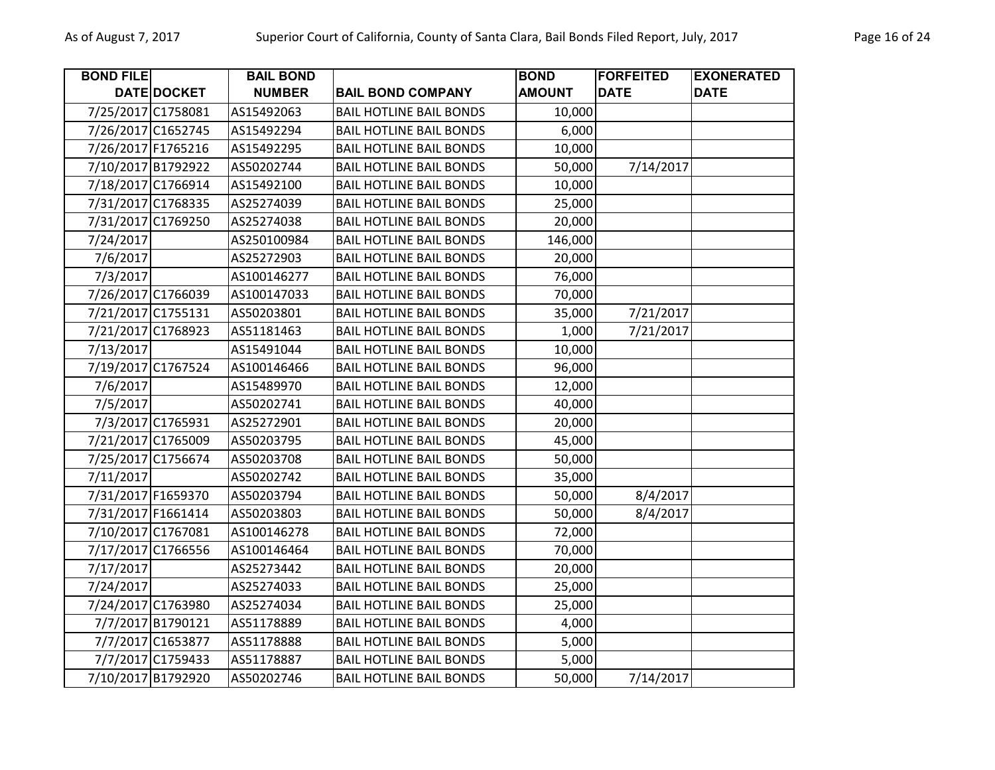| <b>BOND FILE</b>   |                    | <b>BAIL BOND</b> |                                | <b>BOND</b>   | <b>FORFEITED</b> | <b>EXONERATED</b> |
|--------------------|--------------------|------------------|--------------------------------|---------------|------------------|-------------------|
|                    | DATE DOCKET        | <b>NUMBER</b>    | <b>BAIL BOND COMPANY</b>       | <b>AMOUNT</b> | <b>DATE</b>      | <b>DATE</b>       |
|                    | 7/25/2017 C1758081 | AS15492063       | <b>BAIL HOTLINE BAIL BONDS</b> | 10,000        |                  |                   |
|                    | 7/26/2017 C1652745 | AS15492294       | <b>BAIL HOTLINE BAIL BONDS</b> | 6,000         |                  |                   |
| 7/26/2017 F1765216 |                    | AS15492295       | <b>BAIL HOTLINE BAIL BONDS</b> | 10,000        |                  |                   |
|                    | 7/10/2017 B1792922 | AS50202744       | <b>BAIL HOTLINE BAIL BONDS</b> | 50,000        | 7/14/2017        |                   |
|                    | 7/18/2017 C1766914 | AS15492100       | <b>BAIL HOTLINE BAIL BONDS</b> | 10,000        |                  |                   |
|                    | 7/31/2017 C1768335 | AS25274039       | <b>BAIL HOTLINE BAIL BONDS</b> | 25,000        |                  |                   |
|                    | 7/31/2017 C1769250 | AS25274038       | <b>BAIL HOTLINE BAIL BONDS</b> | 20,000        |                  |                   |
| 7/24/2017          |                    | AS250100984      | <b>BAIL HOTLINE BAIL BONDS</b> | 146,000       |                  |                   |
| 7/6/2017           |                    | AS25272903       | <b>BAIL HOTLINE BAIL BONDS</b> | 20,000        |                  |                   |
| 7/3/2017           |                    | AS100146277      | <b>BAIL HOTLINE BAIL BONDS</b> | 76,000        |                  |                   |
|                    | 7/26/2017 C1766039 | AS100147033      | <b>BAIL HOTLINE BAIL BONDS</b> | 70,000        |                  |                   |
|                    | 7/21/2017 C1755131 | AS50203801       | <b>BAIL HOTLINE BAIL BONDS</b> | 35,000        | 7/21/2017        |                   |
|                    | 7/21/2017 C1768923 | AS51181463       | <b>BAIL HOTLINE BAIL BONDS</b> | 1,000         | 7/21/2017        |                   |
| 7/13/2017          |                    | AS15491044       | <b>BAIL HOTLINE BAIL BONDS</b> | 10,000        |                  |                   |
|                    | 7/19/2017 C1767524 | AS100146466      | <b>BAIL HOTLINE BAIL BONDS</b> | 96,000        |                  |                   |
| 7/6/2017           |                    | AS15489970       | <b>BAIL HOTLINE BAIL BONDS</b> | 12,000        |                  |                   |
| 7/5/2017           |                    | AS50202741       | <b>BAIL HOTLINE BAIL BONDS</b> | 40,000        |                  |                   |
|                    | 7/3/2017 C1765931  | AS25272901       | <b>BAIL HOTLINE BAIL BONDS</b> | 20,000        |                  |                   |
|                    | 7/21/2017 C1765009 | AS50203795       | <b>BAIL HOTLINE BAIL BONDS</b> | 45,000        |                  |                   |
|                    | 7/25/2017 C1756674 | AS50203708       | <b>BAIL HOTLINE BAIL BONDS</b> | 50,000        |                  |                   |
| 7/11/2017          |                    | AS50202742       | <b>BAIL HOTLINE BAIL BONDS</b> | 35,000        |                  |                   |
| 7/31/2017 F1659370 |                    | AS50203794       | <b>BAIL HOTLINE BAIL BONDS</b> | 50,000        | 8/4/2017         |                   |
| 7/31/2017 F1661414 |                    | AS50203803       | <b>BAIL HOTLINE BAIL BONDS</b> | 50,000        | 8/4/2017         |                   |
|                    | 7/10/2017 C1767081 | AS100146278      | <b>BAIL HOTLINE BAIL BONDS</b> | 72,000        |                  |                   |
|                    | 7/17/2017 C1766556 | AS100146464      | <b>BAIL HOTLINE BAIL BONDS</b> | 70,000        |                  |                   |
| 7/17/2017          |                    | AS25273442       | <b>BAIL HOTLINE BAIL BONDS</b> | 20,000        |                  |                   |
| 7/24/2017          |                    | AS25274033       | <b>BAIL HOTLINE BAIL BONDS</b> | 25,000        |                  |                   |
|                    | 7/24/2017 C1763980 | AS25274034       | <b>BAIL HOTLINE BAIL BONDS</b> | 25,000        |                  |                   |
|                    | 7/7/2017 B1790121  | AS51178889       | <b>BAIL HOTLINE BAIL BONDS</b> | 4,000         |                  |                   |
|                    | 7/7/2017 C1653877  | AS51178888       | <b>BAIL HOTLINE BAIL BONDS</b> | 5,000         |                  |                   |
|                    | 7/7/2017 C1759433  | AS51178887       | <b>BAIL HOTLINE BAIL BONDS</b> | 5,000         |                  |                   |
|                    | 7/10/2017 B1792920 | AS50202746       | <b>BAIL HOTLINE BAIL BONDS</b> | 50,000        | 7/14/2017        |                   |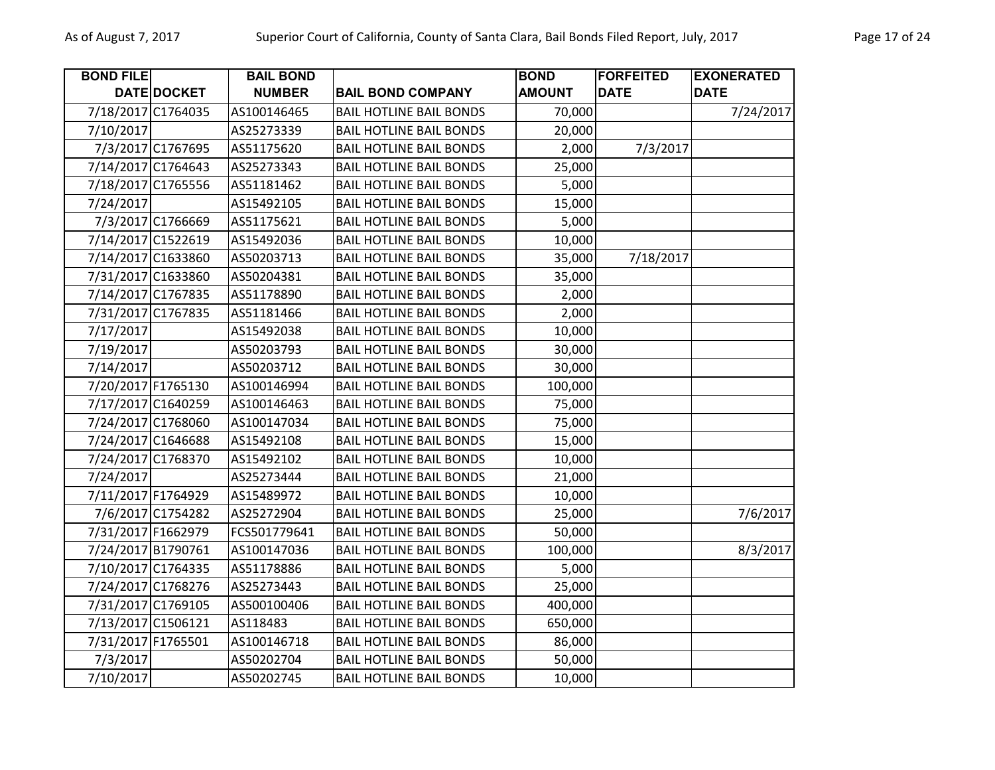| <b>BOND FILE</b>   |                    | <b>BAIL BOND</b> |                                | <b>BOND</b>   | <b>FORFEITED</b> | <b>EXONERATED</b> |
|--------------------|--------------------|------------------|--------------------------------|---------------|------------------|-------------------|
|                    | DATE DOCKET        | <b>NUMBER</b>    | <b>BAIL BOND COMPANY</b>       | <b>AMOUNT</b> | <b>DATE</b>      | <b>DATE</b>       |
|                    | 7/18/2017 C1764035 | AS100146465      | <b>BAIL HOTLINE BAIL BONDS</b> | 70,000        |                  | 7/24/2017         |
| 7/10/2017          |                    | AS25273339       | <b>BAIL HOTLINE BAIL BONDS</b> | 20,000        |                  |                   |
|                    | 7/3/2017 C1767695  | AS51175620       | <b>BAIL HOTLINE BAIL BONDS</b> | 2,000         | 7/3/2017         |                   |
|                    | 7/14/2017 C1764643 | AS25273343       | <b>BAIL HOTLINE BAIL BONDS</b> | 25,000        |                  |                   |
|                    | 7/18/2017 C1765556 | AS51181462       | <b>BAIL HOTLINE BAIL BONDS</b> | 5,000         |                  |                   |
| 7/24/2017          |                    | AS15492105       | <b>BAIL HOTLINE BAIL BONDS</b> | 15,000        |                  |                   |
|                    | 7/3/2017 C1766669  | AS51175621       | <b>BAIL HOTLINE BAIL BONDS</b> | 5,000         |                  |                   |
|                    | 7/14/2017 C1522619 | AS15492036       | <b>BAIL HOTLINE BAIL BONDS</b> | 10,000        |                  |                   |
|                    | 7/14/2017 C1633860 | AS50203713       | <b>BAIL HOTLINE BAIL BONDS</b> | 35,000        | 7/18/2017        |                   |
|                    | 7/31/2017 C1633860 | AS50204381       | <b>BAIL HOTLINE BAIL BONDS</b> | 35,000        |                  |                   |
|                    | 7/14/2017 C1767835 | AS51178890       | <b>BAIL HOTLINE BAIL BONDS</b> | 2,000         |                  |                   |
|                    | 7/31/2017 C1767835 | AS51181466       | <b>BAIL HOTLINE BAIL BONDS</b> | 2,000         |                  |                   |
| 7/17/2017          |                    | AS15492038       | <b>BAIL HOTLINE BAIL BONDS</b> | 10,000        |                  |                   |
| 7/19/2017          |                    | AS50203793       | <b>BAIL HOTLINE BAIL BONDS</b> | 30,000        |                  |                   |
| 7/14/2017          |                    | AS50203712       | <b>BAIL HOTLINE BAIL BONDS</b> | 30,000        |                  |                   |
| 7/20/2017 F1765130 |                    | AS100146994      | <b>BAIL HOTLINE BAIL BONDS</b> | 100,000       |                  |                   |
|                    | 7/17/2017 C1640259 | AS100146463      | <b>BAIL HOTLINE BAIL BONDS</b> | 75,000        |                  |                   |
| 7/24/2017 C1768060 |                    | AS100147034      | <b>BAIL HOTLINE BAIL BONDS</b> | 75,000        |                  |                   |
| 7/24/2017 C1646688 |                    | AS15492108       | <b>BAIL HOTLINE BAIL BONDS</b> | 15,000        |                  |                   |
|                    | 7/24/2017 C1768370 | AS15492102       | <b>BAIL HOTLINE BAIL BONDS</b> | 10,000        |                  |                   |
| 7/24/2017          |                    | AS25273444       | <b>BAIL HOTLINE BAIL BONDS</b> | 21,000        |                  |                   |
| 7/11/2017 F1764929 |                    | AS15489972       | <b>BAIL HOTLINE BAIL BONDS</b> | 10,000        |                  |                   |
|                    | 7/6/2017 C1754282  | AS25272904       | <b>BAIL HOTLINE BAIL BONDS</b> | 25,000        |                  | 7/6/2017          |
| 7/31/2017 F1662979 |                    | FCS501779641     | <b>BAIL HOTLINE BAIL BONDS</b> | 50,000        |                  |                   |
|                    | 7/24/2017 B1790761 | AS100147036      | <b>BAIL HOTLINE BAIL BONDS</b> | 100,000       |                  | 8/3/2017          |
|                    | 7/10/2017 C1764335 | AS51178886       | <b>BAIL HOTLINE BAIL BONDS</b> | 5,000         |                  |                   |
|                    | 7/24/2017 C1768276 | AS25273443       | <b>BAIL HOTLINE BAIL BONDS</b> | 25,000        |                  |                   |
| 7/31/2017 C1769105 |                    | AS500100406      | <b>BAIL HOTLINE BAIL BONDS</b> | 400,000       |                  |                   |
|                    | 7/13/2017 C1506121 | AS118483         | <b>BAIL HOTLINE BAIL BONDS</b> | 650,000       |                  |                   |
| 7/31/2017 F1765501 |                    | AS100146718      | <b>BAIL HOTLINE BAIL BONDS</b> | 86,000        |                  |                   |
| 7/3/2017           |                    | AS50202704       | <b>BAIL HOTLINE BAIL BONDS</b> | 50,000        |                  |                   |
| 7/10/2017          |                    | AS50202745       | <b>BAIL HOTLINE BAIL BONDS</b> | 10,000        |                  |                   |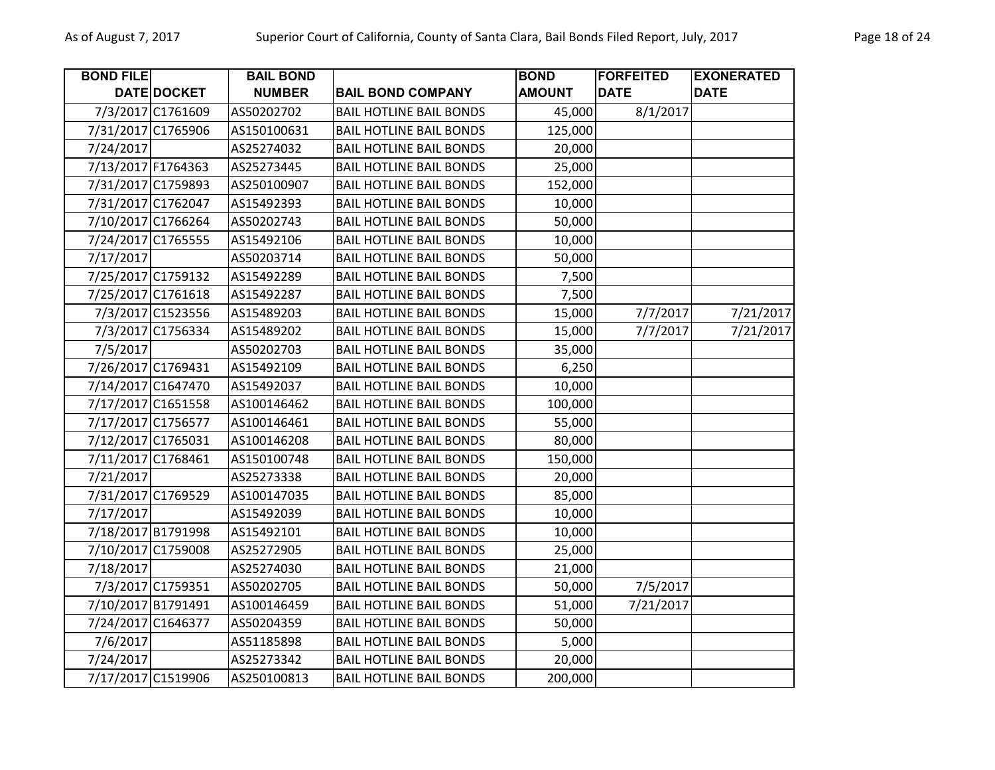| <b>BOND FILE</b>   |                    | <b>BAIL BOND</b> |                                | <b>BOND</b>   | <b>FORFEITED</b> | <b>EXONERATED</b> |
|--------------------|--------------------|------------------|--------------------------------|---------------|------------------|-------------------|
|                    | DATE DOCKET        | <b>NUMBER</b>    | <b>BAIL BOND COMPANY</b>       | <b>AMOUNT</b> | <b>DATE</b>      | <b>DATE</b>       |
|                    | 7/3/2017 C1761609  | AS50202702       | <b>BAIL HOTLINE BAIL BONDS</b> | 45,000        | 8/1/2017         |                   |
|                    | 7/31/2017 C1765906 | AS150100631      | <b>BAIL HOTLINE BAIL BONDS</b> | 125,000       |                  |                   |
| 7/24/2017          |                    | AS25274032       | <b>BAIL HOTLINE BAIL BONDS</b> | 20,000        |                  |                   |
| 7/13/2017 F1764363 |                    | AS25273445       | <b>BAIL HOTLINE BAIL BONDS</b> | 25,000        |                  |                   |
|                    | 7/31/2017 C1759893 | AS250100907      | <b>BAIL HOTLINE BAIL BONDS</b> | 152,000       |                  |                   |
|                    | 7/31/2017 C1762047 | AS15492393       | <b>BAIL HOTLINE BAIL BONDS</b> | 10,000        |                  |                   |
|                    | 7/10/2017 C1766264 | AS50202743       | <b>BAIL HOTLINE BAIL BONDS</b> | 50,000        |                  |                   |
|                    | 7/24/2017 C1765555 | AS15492106       | <b>BAIL HOTLINE BAIL BONDS</b> | 10,000        |                  |                   |
| 7/17/2017          |                    | AS50203714       | <b>BAIL HOTLINE BAIL BONDS</b> | 50,000        |                  |                   |
|                    | 7/25/2017 C1759132 | AS15492289       | <b>BAIL HOTLINE BAIL BONDS</b> | 7,500         |                  |                   |
|                    | 7/25/2017 C1761618 | AS15492287       | <b>BAIL HOTLINE BAIL BONDS</b> | 7,500         |                  |                   |
|                    | 7/3/2017 C1523556  | AS15489203       | <b>BAIL HOTLINE BAIL BONDS</b> | 15,000        | 7/7/2017         | 7/21/2017         |
|                    | 7/3/2017 C1756334  | AS15489202       | <b>BAIL HOTLINE BAIL BONDS</b> | 15,000        | 7/7/2017         | 7/21/2017         |
| 7/5/2017           |                    | AS50202703       | <b>BAIL HOTLINE BAIL BONDS</b> | 35,000        |                  |                   |
|                    | 7/26/2017 C1769431 | AS15492109       | <b>BAIL HOTLINE BAIL BONDS</b> | 6,250         |                  |                   |
|                    | 7/14/2017 C1647470 | AS15492037       | <b>BAIL HOTLINE BAIL BONDS</b> | 10,000        |                  |                   |
|                    | 7/17/2017 C1651558 | AS100146462      | <b>BAIL HOTLINE BAIL BONDS</b> | 100,000       |                  |                   |
|                    | 7/17/2017 C1756577 | AS100146461      | <b>BAIL HOTLINE BAIL BONDS</b> | 55,000        |                  |                   |
|                    | 7/12/2017 C1765031 | AS100146208      | <b>BAIL HOTLINE BAIL BONDS</b> | 80,000        |                  |                   |
|                    | 7/11/2017 C1768461 | AS150100748      | <b>BAIL HOTLINE BAIL BONDS</b> | 150,000       |                  |                   |
| 7/21/2017          |                    | AS25273338       | <b>BAIL HOTLINE BAIL BONDS</b> | 20,000        |                  |                   |
|                    | 7/31/2017 C1769529 | AS100147035      | <b>BAIL HOTLINE BAIL BONDS</b> | 85,000        |                  |                   |
| 7/17/2017          |                    | AS15492039       | <b>BAIL HOTLINE BAIL BONDS</b> | 10,000        |                  |                   |
|                    | 7/18/2017 B1791998 | AS15492101       | <b>BAIL HOTLINE BAIL BONDS</b> | 10,000        |                  |                   |
|                    | 7/10/2017 C1759008 | AS25272905       | <b>BAIL HOTLINE BAIL BONDS</b> | 25,000        |                  |                   |
| 7/18/2017          |                    | AS25274030       | <b>BAIL HOTLINE BAIL BONDS</b> | 21,000        |                  |                   |
|                    | 7/3/2017 C1759351  | AS50202705       | <b>BAIL HOTLINE BAIL BONDS</b> | 50,000        | 7/5/2017         |                   |
|                    | 7/10/2017 B1791491 | AS100146459      | <b>BAIL HOTLINE BAIL BONDS</b> | 51,000        | 7/21/2017        |                   |
|                    | 7/24/2017 C1646377 | AS50204359       | <b>BAIL HOTLINE BAIL BONDS</b> | 50,000        |                  |                   |
| 7/6/2017           |                    | AS51185898       | <b>BAIL HOTLINE BAIL BONDS</b> | 5,000         |                  |                   |
| 7/24/2017          |                    | AS25273342       | <b>BAIL HOTLINE BAIL BONDS</b> | 20,000        |                  |                   |
|                    | 7/17/2017 C1519906 | AS250100813      | <b>BAIL HOTLINE BAIL BONDS</b> | 200,000       |                  |                   |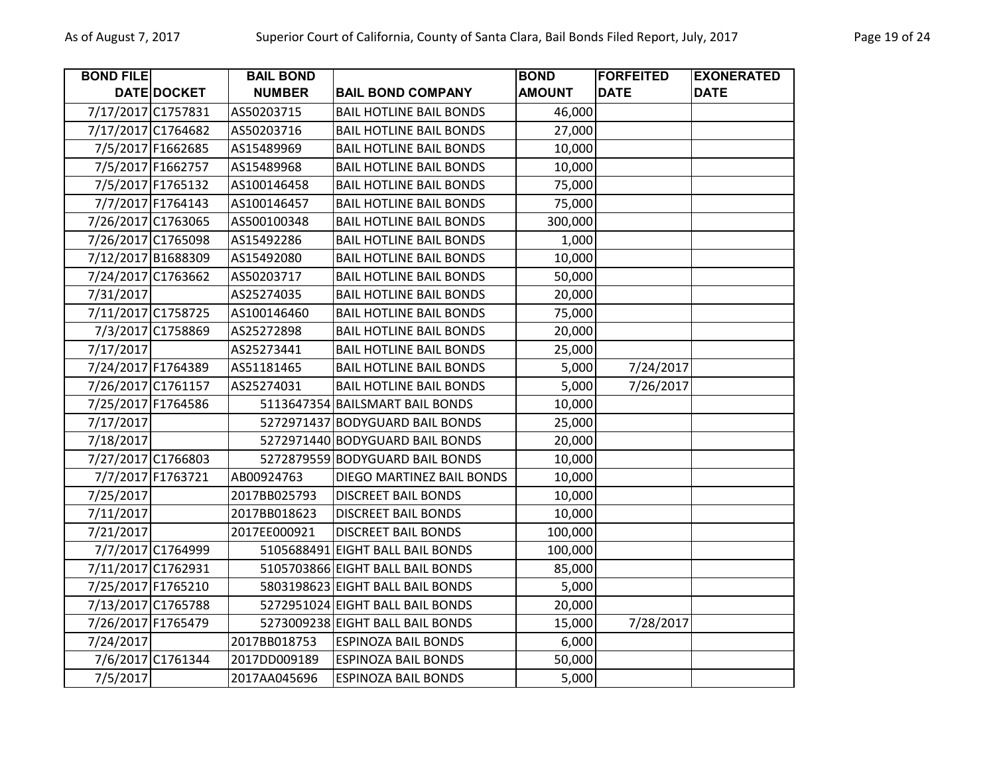| <b>BOND FILE</b>   |                    | <b>BAIL BOND</b> |                                  | <b>BOND</b>   | <b>FORFEITED</b> | <b>EXONERATED</b> |
|--------------------|--------------------|------------------|----------------------------------|---------------|------------------|-------------------|
|                    | DATE DOCKET        | <b>NUMBER</b>    | <b>BAIL BOND COMPANY</b>         | <b>AMOUNT</b> | <b>DATE</b>      | <b>DATE</b>       |
|                    | 7/17/2017 C1757831 | AS50203715       | <b>BAIL HOTLINE BAIL BONDS</b>   | 46,000        |                  |                   |
|                    | 7/17/2017 C1764682 | AS50203716       | <b>BAIL HOTLINE BAIL BONDS</b>   | 27,000        |                  |                   |
|                    | 7/5/2017 F1662685  | AS15489969       | <b>BAIL HOTLINE BAIL BONDS</b>   | 10,000        |                  |                   |
|                    | 7/5/2017 F1662757  | AS15489968       | <b>BAIL HOTLINE BAIL BONDS</b>   | 10,000        |                  |                   |
|                    | 7/5/2017 F1765132  | AS100146458      | <b>BAIL HOTLINE BAIL BONDS</b>   | 75,000        |                  |                   |
|                    | 7/7/2017 F1764143  | AS100146457      | <b>BAIL HOTLINE BAIL BONDS</b>   | 75,000        |                  |                   |
|                    | 7/26/2017 C1763065 | AS500100348      | <b>BAIL HOTLINE BAIL BONDS</b>   | 300,000       |                  |                   |
| 7/26/2017 C1765098 |                    | AS15492286       | <b>BAIL HOTLINE BAIL BONDS</b>   | 1,000         |                  |                   |
|                    | 7/12/2017 B1688309 | AS15492080       | <b>BAIL HOTLINE BAIL BONDS</b>   | 10,000        |                  |                   |
|                    | 7/24/2017 C1763662 | AS50203717       | <b>BAIL HOTLINE BAIL BONDS</b>   | 50,000        |                  |                   |
| 7/31/2017          |                    | AS25274035       | <b>BAIL HOTLINE BAIL BONDS</b>   | 20,000        |                  |                   |
|                    | 7/11/2017 C1758725 | AS100146460      | <b>BAIL HOTLINE BAIL BONDS</b>   | 75,000        |                  |                   |
|                    | 7/3/2017 C1758869  | AS25272898       | <b>BAIL HOTLINE BAIL BONDS</b>   | 20,000        |                  |                   |
| 7/17/2017          |                    | AS25273441       | <b>BAIL HOTLINE BAIL BONDS</b>   | 25,000        |                  |                   |
| 7/24/2017 F1764389 |                    | AS51181465       | <b>BAIL HOTLINE BAIL BONDS</b>   | 5,000         | 7/24/2017        |                   |
|                    | 7/26/2017 C1761157 | AS25274031       | <b>BAIL HOTLINE BAIL BONDS</b>   | 5,000         | 7/26/2017        |                   |
| 7/25/2017 F1764586 |                    |                  | 5113647354 BAILSMART BAIL BONDS  | 10,000        |                  |                   |
| 7/17/2017          |                    |                  | 5272971437 BODYGUARD BAIL BONDS  | 25,000        |                  |                   |
| 7/18/2017          |                    |                  | 5272971440 BODYGUARD BAIL BONDS  | 20,000        |                  |                   |
|                    | 7/27/2017 C1766803 |                  | 5272879559 BODYGUARD BAIL BONDS  | 10,000        |                  |                   |
|                    | 7/7/2017 F1763721  | AB00924763       | DIEGO MARTINEZ BAIL BONDS        | 10,000        |                  |                   |
| 7/25/2017          |                    | 2017BB025793     | <b>DISCREET BAIL BONDS</b>       | 10,000        |                  |                   |
| 7/11/2017          |                    | 2017BB018623     | <b>DISCREET BAIL BONDS</b>       | 10,000        |                  |                   |
| 7/21/2017          |                    | 2017EE000921     | <b>DISCREET BAIL BONDS</b>       | 100,000       |                  |                   |
|                    | 7/7/2017 C1764999  |                  | 5105688491 EIGHT BALL BAIL BONDS | 100,000       |                  |                   |
|                    | 7/11/2017 C1762931 |                  | 5105703866 EIGHT BALL BAIL BONDS | 85,000        |                  |                   |
| 7/25/2017 F1765210 |                    |                  | 5803198623 EIGHT BALL BAIL BONDS | 5,000         |                  |                   |
|                    | 7/13/2017 C1765788 |                  | 5272951024 EIGHT BALL BAIL BONDS | 20,000        |                  |                   |
| 7/26/2017 F1765479 |                    |                  | 5273009238 EIGHT BALL BAIL BONDS | 15,000        | 7/28/2017        |                   |
| 7/24/2017          |                    | 2017BB018753     | <b>ESPINOZA BAIL BONDS</b>       | 6,000         |                  |                   |
|                    | 7/6/2017 C1761344  | 2017DD009189     | <b>ESPINOZA BAIL BONDS</b>       | 50,000        |                  |                   |
| 7/5/2017           |                    | 2017AA045696     | <b>ESPINOZA BAIL BONDS</b>       | 5,000         |                  |                   |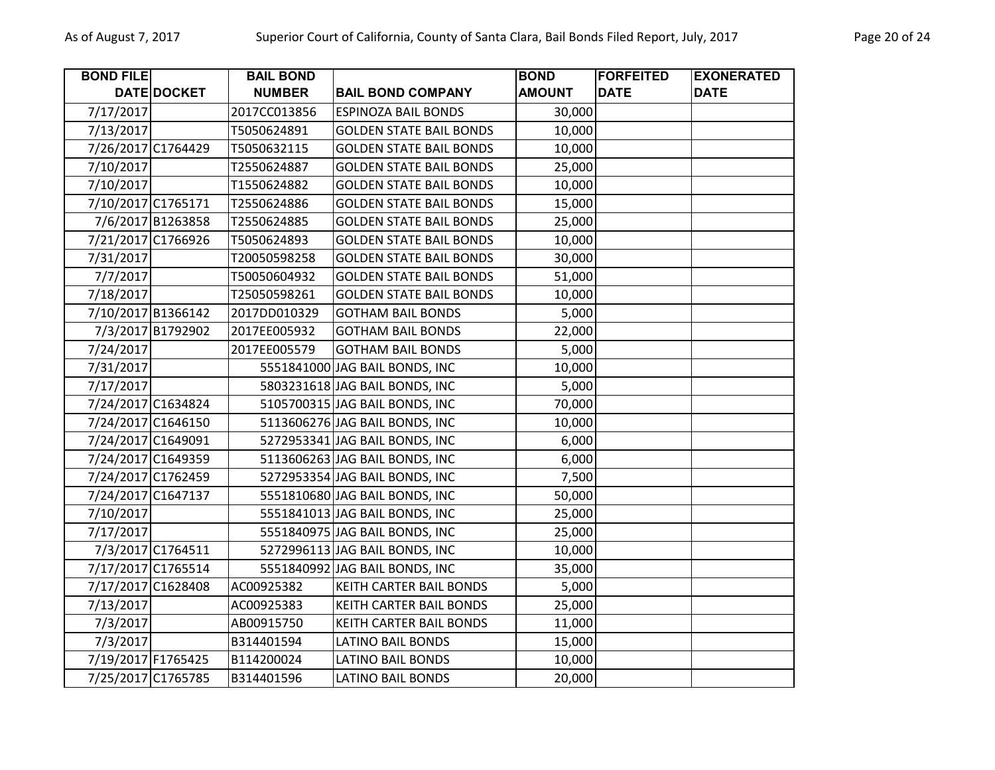| <b>BOND FILE</b> |                    | <b>BAIL BOND</b> |                                | <b>BOND</b>   | <b>FORFEITED</b> | <b>EXONERATED</b> |
|------------------|--------------------|------------------|--------------------------------|---------------|------------------|-------------------|
|                  | DATE DOCKET        | <b>NUMBER</b>    | <b>BAIL BOND COMPANY</b>       | <b>AMOUNT</b> | <b>DATE</b>      | <b>DATE</b>       |
| 7/17/2017        |                    | 2017CC013856     | <b>ESPINOZA BAIL BONDS</b>     | 30,000        |                  |                   |
| 7/13/2017        |                    | T5050624891      | <b>GOLDEN STATE BAIL BONDS</b> | 10,000        |                  |                   |
|                  | 7/26/2017 C1764429 | T5050632115      | <b>GOLDEN STATE BAIL BONDS</b> | 10,000        |                  |                   |
| 7/10/2017        |                    | T2550624887      | <b>GOLDEN STATE BAIL BONDS</b> | 25,000        |                  |                   |
| 7/10/2017        |                    | T1550624882      | <b>GOLDEN STATE BAIL BONDS</b> | 10,000        |                  |                   |
|                  | 7/10/2017 C1765171 | T2550624886      | <b>GOLDEN STATE BAIL BONDS</b> | 15,000        |                  |                   |
|                  | 7/6/2017 B1263858  | T2550624885      | <b>GOLDEN STATE BAIL BONDS</b> | 25,000        |                  |                   |
|                  | 7/21/2017 C1766926 | T5050624893      | <b>GOLDEN STATE BAIL BONDS</b> | 10,000        |                  |                   |
| 7/31/2017        |                    | T20050598258     | <b>GOLDEN STATE BAIL BONDS</b> | 30,000        |                  |                   |
| 7/7/2017         |                    | T50050604932     | <b>GOLDEN STATE BAIL BONDS</b> | 51,000        |                  |                   |
| 7/18/2017        |                    | T25050598261     | <b>GOLDEN STATE BAIL BONDS</b> | 10,000        |                  |                   |
|                  | 7/10/2017 B1366142 | 2017DD010329     | <b>GOTHAM BAIL BONDS</b>       | 5,000         |                  |                   |
|                  | 7/3/2017 B1792902  | 2017EE005932     | <b>GOTHAM BAIL BONDS</b>       | 22,000        |                  |                   |
| 7/24/2017        |                    | 2017EE005579     | <b>GOTHAM BAIL BONDS</b>       | 5,000         |                  |                   |
| 7/31/2017        |                    |                  | 5551841000 JAG BAIL BONDS, INC | 10,000        |                  |                   |
| 7/17/2017        |                    |                  | 5803231618 JAG BAIL BONDS, INC | 5,000         |                  |                   |
|                  | 7/24/2017 C1634824 |                  | 5105700315 JAG BAIL BONDS, INC | 70,000        |                  |                   |
|                  | 7/24/2017 C1646150 |                  | 5113606276 JAG BAIL BONDS, INC | 10,000        |                  |                   |
|                  | 7/24/2017 C1649091 |                  | 5272953341 JAG BAIL BONDS, INC | 6,000         |                  |                   |
|                  | 7/24/2017 C1649359 |                  | 5113606263 JAG BAIL BONDS, INC | 6,000         |                  |                   |
|                  | 7/24/2017 C1762459 |                  | 5272953354 JAG BAIL BONDS, INC | 7,500         |                  |                   |
|                  | 7/24/2017 C1647137 |                  | 5551810680 JAG BAIL BONDS, INC | 50,000        |                  |                   |
| 7/10/2017        |                    |                  | 5551841013 JAG BAIL BONDS, INC | 25,000        |                  |                   |
| 7/17/2017        |                    |                  | 5551840975 JAG BAIL BONDS, INC | 25,000        |                  |                   |
|                  | 7/3/2017 C1764511  |                  | 5272996113 JAG BAIL BONDS, INC | 10,000        |                  |                   |
|                  | 7/17/2017 C1765514 |                  | 5551840992 JAG BAIL BONDS, INC | 35,000        |                  |                   |
|                  | 7/17/2017 C1628408 | AC00925382       | <b>KEITH CARTER BAIL BONDS</b> | 5,000         |                  |                   |
| 7/13/2017        |                    | AC00925383       | KEITH CARTER BAIL BONDS        | 25,000        |                  |                   |
| 7/3/2017         |                    | AB00915750       | KEITH CARTER BAIL BONDS        | 11,000        |                  |                   |
| 7/3/2017         |                    | B314401594       | <b>LATINO BAIL BONDS</b>       | 15,000        |                  |                   |
|                  | 7/19/2017 F1765425 | B114200024       | <b>LATINO BAIL BONDS</b>       | 10,000        |                  |                   |
|                  | 7/25/2017 C1765785 | B314401596       | <b>LATINO BAIL BONDS</b>       | 20,000        |                  |                   |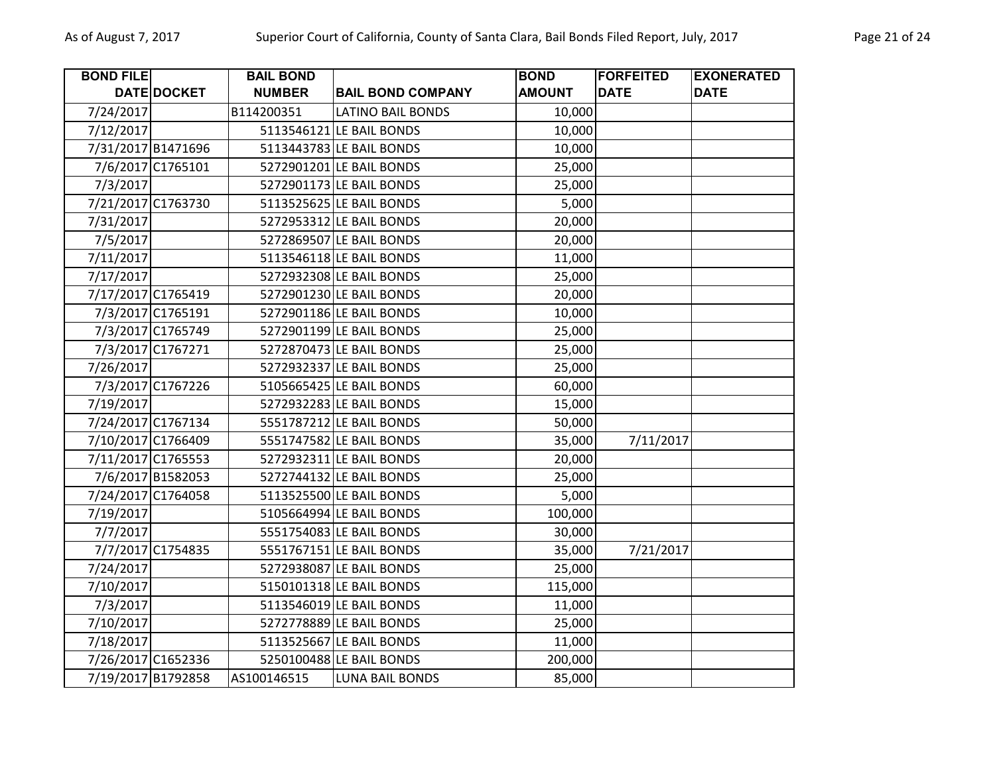| <b>BOND FILE</b> |                    | <b>BAIL BOND</b> |                          | <b>BOND</b>   | <b>FORFEITED</b> | <b>EXONERATED</b> |
|------------------|--------------------|------------------|--------------------------|---------------|------------------|-------------------|
|                  | DATE DOCKET        | <b>NUMBER</b>    | <b>BAIL BOND COMPANY</b> | <b>AMOUNT</b> | <b>DATE</b>      | <b>DATE</b>       |
| 7/24/2017        |                    | B114200351       | <b>LATINO BAIL BONDS</b> | 10,000        |                  |                   |
| 7/12/2017        |                    |                  | 5113546121 LE BAIL BONDS | 10,000        |                  |                   |
|                  | 7/31/2017 B1471696 |                  | 5113443783 LE BAIL BONDS | 10,000        |                  |                   |
|                  | 7/6/2017 C1765101  |                  | 5272901201 LE BAIL BONDS | 25,000        |                  |                   |
| 7/3/2017         |                    |                  | 5272901173 LE BAIL BONDS | 25,000        |                  |                   |
|                  | 7/21/2017 C1763730 |                  | 5113525625 LE BAIL BONDS | 5,000         |                  |                   |
| 7/31/2017        |                    |                  | 5272953312 LE BAIL BONDS | 20,000        |                  |                   |
| 7/5/2017         |                    |                  | 5272869507 LE BAIL BONDS | 20,000        |                  |                   |
| 7/11/2017        |                    |                  | 5113546118 LE BAIL BONDS | 11,000        |                  |                   |
| 7/17/2017        |                    |                  | 5272932308 LE BAIL BONDS | 25,000        |                  |                   |
|                  | 7/17/2017 C1765419 |                  | 5272901230 LE BAIL BONDS | 20,000        |                  |                   |
|                  | 7/3/2017 C1765191  |                  | 5272901186 LE BAIL BONDS | 10,000        |                  |                   |
|                  | 7/3/2017 C1765749  |                  | 5272901199 LE BAIL BONDS | 25,000        |                  |                   |
|                  | 7/3/2017 C1767271  |                  | 5272870473 LE BAIL BONDS | 25,000        |                  |                   |
| 7/26/2017        |                    |                  | 5272932337 LE BAIL BONDS | 25,000        |                  |                   |
|                  | 7/3/2017 C1767226  |                  | 5105665425 LE BAIL BONDS | 60,000        |                  |                   |
| 7/19/2017        |                    |                  | 5272932283 LE BAIL BONDS | 15,000        |                  |                   |
|                  | 7/24/2017 C1767134 |                  | 5551787212 LE BAIL BONDS | 50,000        |                  |                   |
|                  | 7/10/2017 C1766409 |                  | 5551747582 LE BAIL BONDS | 35,000        | 7/11/2017        |                   |
|                  | 7/11/2017 C1765553 |                  | 5272932311 LE BAIL BONDS | 20,000        |                  |                   |
|                  | 7/6/2017 B1582053  |                  | 5272744132 LE BAIL BONDS | 25,000        |                  |                   |
|                  | 7/24/2017 C1764058 |                  | 5113525500 LE BAIL BONDS | 5,000         |                  |                   |
| 7/19/2017        |                    |                  | 5105664994 LE BAIL BONDS | 100,000       |                  |                   |
| 7/7/2017         |                    |                  | 5551754083 LE BAIL BONDS | 30,000        |                  |                   |
|                  | 7/7/2017 C1754835  |                  | 5551767151 LE BAIL BONDS | 35,000        | 7/21/2017        |                   |
| 7/24/2017        |                    |                  | 5272938087 LE BAIL BONDS | 25,000        |                  |                   |
| 7/10/2017        |                    |                  | 5150101318 LE BAIL BONDS | 115,000       |                  |                   |
| 7/3/2017         |                    |                  | 5113546019 LE BAIL BONDS | 11,000        |                  |                   |
| 7/10/2017        |                    |                  | 5272778889 LE BAIL BONDS | 25,000        |                  |                   |
| 7/18/2017        |                    |                  | 5113525667 LE BAIL BONDS | 11,000        |                  |                   |
|                  | 7/26/2017 C1652336 |                  | 5250100488 LE BAIL BONDS | 200,000       |                  |                   |
|                  | 7/19/2017 B1792858 | AS100146515      | <b>LUNA BAIL BONDS</b>   | 85,000        |                  |                   |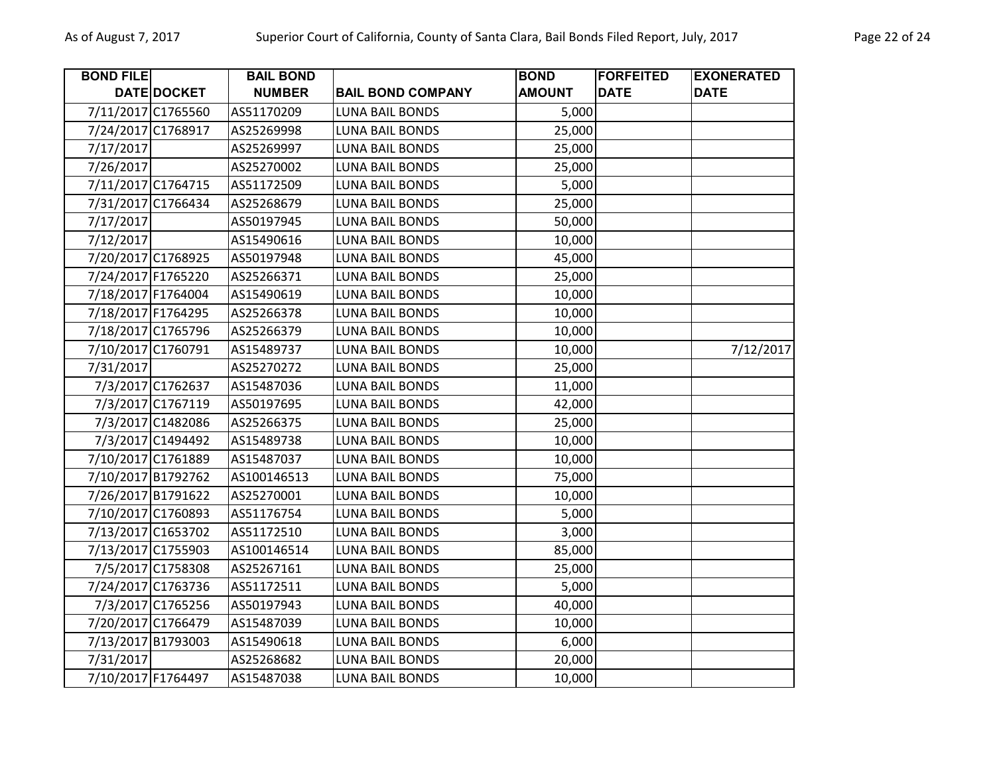| <b>BOND FILE</b> |                    | <b>BAIL BOND</b> |                          | <b>BOND</b>   | <b>FORFEITED</b> | <b>EXONERATED</b> |
|------------------|--------------------|------------------|--------------------------|---------------|------------------|-------------------|
|                  | <b>DATE DOCKET</b> | <b>NUMBER</b>    | <b>BAIL BOND COMPANY</b> | <b>AMOUNT</b> | <b>DATE</b>      | <b>DATE</b>       |
|                  | 7/11/2017 C1765560 | AS51170209       | <b>LUNA BAIL BONDS</b>   | 5,000         |                  |                   |
|                  | 7/24/2017 C1768917 | AS25269998       | <b>LUNA BAIL BONDS</b>   | 25,000        |                  |                   |
| 7/17/2017        |                    | AS25269997       | <b>LUNA BAIL BONDS</b>   | 25,000        |                  |                   |
| 7/26/2017        |                    | AS25270002       | <b>LUNA BAIL BONDS</b>   | 25,000        |                  |                   |
|                  | 7/11/2017 C1764715 | AS51172509       | <b>LUNA BAIL BONDS</b>   | 5,000         |                  |                   |
|                  | 7/31/2017 C1766434 | AS25268679       | <b>LUNA BAIL BONDS</b>   | 25,000        |                  |                   |
| 7/17/2017        |                    | AS50197945       | <b>LUNA BAIL BONDS</b>   | 50,000        |                  |                   |
| 7/12/2017        |                    | AS15490616       | <b>LUNA BAIL BONDS</b>   | 10,000        |                  |                   |
|                  | 7/20/2017 C1768925 | AS50197948       | LUNA BAIL BONDS          | 45,000        |                  |                   |
|                  | 7/24/2017 F1765220 | AS25266371       | <b>LUNA BAIL BONDS</b>   | 25,000        |                  |                   |
|                  | 7/18/2017 F1764004 | AS15490619       | <b>LUNA BAIL BONDS</b>   | 10,000        |                  |                   |
|                  | 7/18/2017 F1764295 | AS25266378       | LUNA BAIL BONDS          | 10,000        |                  |                   |
|                  | 7/18/2017 C1765796 | AS25266379       | <b>LUNA BAIL BONDS</b>   | 10,000        |                  |                   |
|                  | 7/10/2017 C1760791 | AS15489737       | <b>LUNA BAIL BONDS</b>   | 10,000        |                  | 7/12/2017         |
| 7/31/2017        |                    | AS25270272       | <b>LUNA BAIL BONDS</b>   | 25,000        |                  |                   |
|                  | 7/3/2017 C1762637  | AS15487036       | <b>LUNA BAIL BONDS</b>   | 11,000        |                  |                   |
|                  | 7/3/2017 C1767119  | AS50197695       | <b>LUNA BAIL BONDS</b>   | 42,000        |                  |                   |
|                  | 7/3/2017 C1482086  | AS25266375       | <b>LUNA BAIL BONDS</b>   | 25,000        |                  |                   |
|                  | 7/3/2017 C1494492  | AS15489738       | LUNA BAIL BONDS          | 10,000        |                  |                   |
|                  | 7/10/2017 C1761889 | AS15487037       | <b>LUNA BAIL BONDS</b>   | 10,000        |                  |                   |
|                  | 7/10/2017 B1792762 | AS100146513      | <b>LUNA BAIL BONDS</b>   | 75,000        |                  |                   |
|                  | 7/26/2017 B1791622 | AS25270001       | LUNA BAIL BONDS          | 10,000        |                  |                   |
|                  | 7/10/2017 C1760893 | AS51176754       | <b>LUNA BAIL BONDS</b>   | 5,000         |                  |                   |
|                  | 7/13/2017 C1653702 | AS51172510       | <b>LUNA BAIL BONDS</b>   | 3,000         |                  |                   |
|                  | 7/13/2017 C1755903 | AS100146514      | <b>LUNA BAIL BONDS</b>   | 85,000        |                  |                   |
|                  | 7/5/2017 C1758308  | AS25267161       | <b>LUNA BAIL BONDS</b>   | 25,000        |                  |                   |
|                  | 7/24/2017 C1763736 | AS51172511       | <b>LUNA BAIL BONDS</b>   | 5,000         |                  |                   |
|                  | 7/3/2017 C1765256  | AS50197943       | <b>LUNA BAIL BONDS</b>   | 40,000        |                  |                   |
|                  | 7/20/2017 C1766479 | AS15487039       | <b>LUNA BAIL BONDS</b>   | 10,000        |                  |                   |
|                  | 7/13/2017 B1793003 | AS15490618       | LUNA BAIL BONDS          | 6,000         |                  |                   |
| 7/31/2017        |                    | AS25268682       | <b>LUNA BAIL BONDS</b>   | 20,000        |                  |                   |
|                  | 7/10/2017 F1764497 | AS15487038       | <b>LUNA BAIL BONDS</b>   | 10,000        |                  |                   |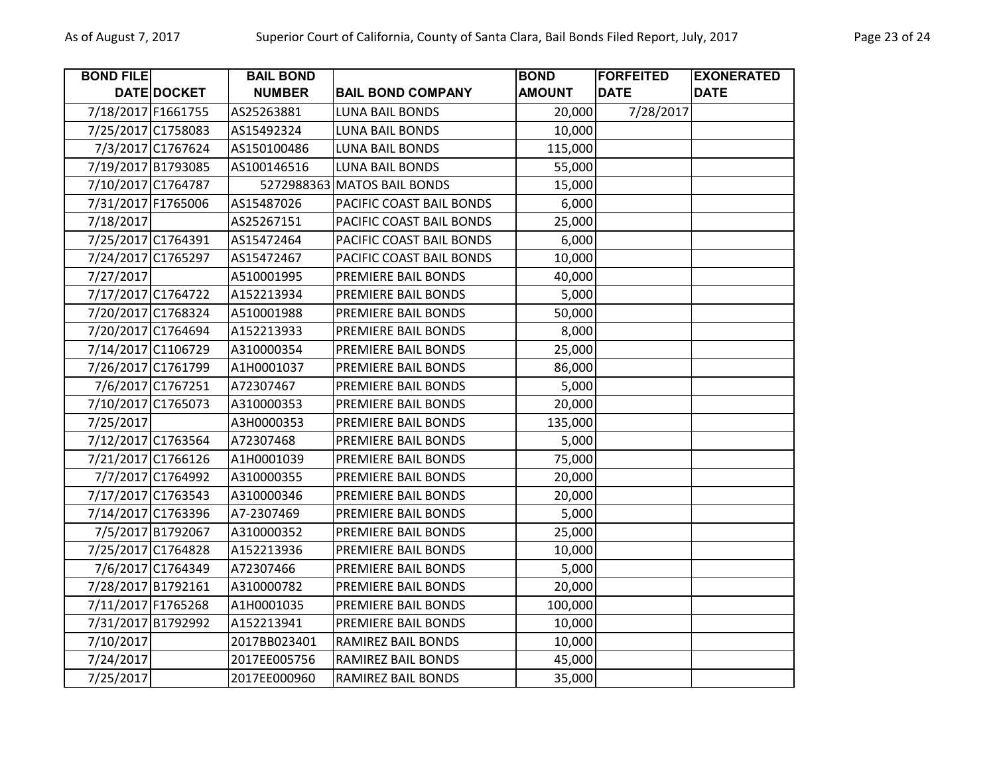| <b>BOND FILE</b>   |                    | <b>BAIL BOND</b> |                             | <b>BOND</b>   | <b>FORFEITED</b> | <b>EXONERATED</b> |
|--------------------|--------------------|------------------|-----------------------------|---------------|------------------|-------------------|
|                    | DATE DOCKET        | <b>NUMBER</b>    | <b>BAIL BOND COMPANY</b>    | <b>AMOUNT</b> | <b>DATE</b>      | <b>DATE</b>       |
| 7/18/2017 F1661755 |                    | AS25263881       | <b>LUNA BAIL BONDS</b>      | 20,000        | 7/28/2017        |                   |
|                    | 7/25/2017 C1758083 | AS15492324       | <b>LUNA BAIL BONDS</b>      | 10,000        |                  |                   |
|                    | 7/3/2017 C1767624  | AS150100486      | <b>LUNA BAIL BONDS</b>      | 115,000       |                  |                   |
|                    | 7/19/2017 B1793085 | AS100146516      | LUNA BAIL BONDS             | 55,000        |                  |                   |
|                    | 7/10/2017 C1764787 |                  | 5272988363 MATOS BAIL BONDS | 15,000        |                  |                   |
| 7/31/2017 F1765006 |                    | AS15487026       | PACIFIC COAST BAIL BONDS    | 6,000         |                  |                   |
| 7/18/2017          |                    | AS25267151       | PACIFIC COAST BAIL BONDS    | 25,000        |                  |                   |
|                    | 7/25/2017 C1764391 | AS15472464       | PACIFIC COAST BAIL BONDS    | 6,000         |                  |                   |
|                    | 7/24/2017 C1765297 | AS15472467       | PACIFIC COAST BAIL BONDS    | 10,000        |                  |                   |
| 7/27/2017          |                    | A510001995       | PREMIERE BAIL BONDS         | 40,000        |                  |                   |
| 7/17/2017 C1764722 |                    | A152213934       | PREMIERE BAIL BONDS         | 5,000         |                  |                   |
|                    | 7/20/2017 C1768324 | A510001988       | PREMIERE BAIL BONDS         | 50,000        |                  |                   |
| 7/20/2017 C1764694 |                    | A152213933       | PREMIERE BAIL BONDS         | 8,000         |                  |                   |
| 7/14/2017 C1106729 |                    | A310000354       | PREMIERE BAIL BONDS         | 25,000        |                  |                   |
| 7/26/2017 C1761799 |                    | A1H0001037       | PREMIERE BAIL BONDS         | 86,000        |                  |                   |
|                    | 7/6/2017 C1767251  | A72307467        | PREMIERE BAIL BONDS         | 5,000         |                  |                   |
| 7/10/2017 C1765073 |                    | A310000353       | PREMIERE BAIL BONDS         | 20,000        |                  |                   |
| 7/25/2017          |                    | A3H0000353       | PREMIERE BAIL BONDS         | 135,000       |                  |                   |
|                    | 7/12/2017 C1763564 | A72307468        | PREMIERE BAIL BONDS         | 5,000         |                  |                   |
|                    | 7/21/2017 C1766126 | A1H0001039       | PREMIERE BAIL BONDS         | 75,000        |                  |                   |
|                    | 7/7/2017 C1764992  | A310000355       | PREMIERE BAIL BONDS         | 20,000        |                  |                   |
| 7/17/2017 C1763543 |                    | A310000346       | PREMIERE BAIL BONDS         | 20,000        |                  |                   |
|                    | 7/14/2017 C1763396 | A7-2307469       | PREMIERE BAIL BONDS         | 5,000         |                  |                   |
|                    | 7/5/2017 B1792067  | A310000352       | PREMIERE BAIL BONDS         | 25,000        |                  |                   |
|                    | 7/25/2017 C1764828 | A152213936       | PREMIERE BAIL BONDS         | 10,000        |                  |                   |
|                    | 7/6/2017 C1764349  | A72307466        | PREMIERE BAIL BONDS         | 5,000         |                  |                   |
|                    | 7/28/2017 B1792161 | A310000782       | PREMIERE BAIL BONDS         | 20,000        |                  |                   |
|                    | 7/11/2017 F1765268 | A1H0001035       | PREMIERE BAIL BONDS         | 100,000       |                  |                   |
|                    | 7/31/2017 B1792992 | A152213941       | PREMIERE BAIL BONDS         | 10,000        |                  |                   |
| 7/10/2017          |                    | 2017BB023401     | RAMIREZ BAIL BONDS          | 10,000        |                  |                   |
| 7/24/2017          |                    | 2017EE005756     | <b>RAMIREZ BAIL BONDS</b>   | 45,000        |                  |                   |
| 7/25/2017          |                    | 2017EE000960     | RAMIREZ BAIL BONDS          | 35,000        |                  |                   |